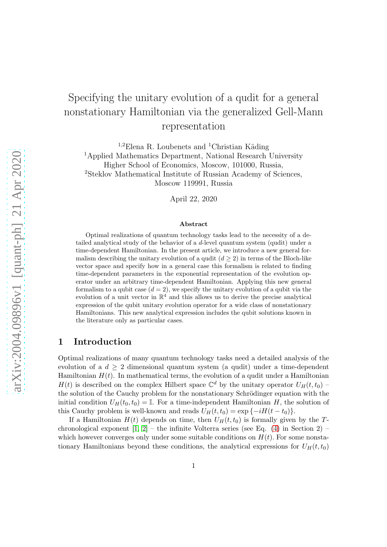# Specifying the unitary evolution of a qudit for a general nonstationary Hamiltonian via the generalized Gell-Mann representation

<sup>1,2</sup>Elena R. Loubenets and <sup>1</sup>Christian Käding <sup>1</sup>Applied Mathematics Department, National Research University Higher School of Economics, Moscow, 101000, Russia, <sup>2</sup>Steklov Mathematical Institute of Russian Academy of Sciences,

Moscow 119991, Russia

April 22, 2020

#### Abstract

Optimal realizations of quantum technology tasks lead to the necessity of a detailed analytical study of the behavior of a d-level quantum system (qudit) under a time-dependent Hamiltonian. In the present article, we introduce a new general formalism describing the unitary evolution of a qudit  $(d \geq 2)$  in terms of the Bloch-like vector space and specify how in a general case this formalism is related to finding time-dependent parameters in the exponential representation of the evolution operator under an arbitrary time-dependent Hamiltonian. Applying this new general formalism to a qubit case  $(d = 2)$ , we specify the unitary evolution of a qubit via the evolution of a unit vector in  $\mathbb{R}^4$  and this allows us to derive the precise analytical expression of the qubit unitary evolution operator for a wide class of nonstationary Hamiltonians. This new analytical expression includes the qubit solutions known in the literature only as particular cases.

#### 1 Introduction

Optimal realizations of many quantum technology tasks need a detailed analysis of the evolution of a  $d > 2$  dimensional quantum system (a qudit) under a time-dependent Hamiltonian  $H(t)$ . In mathematical terms, the evolution of a qudit under a Hamiltonian  $H(t)$  is described on the complex Hilbert space  $\mathbb{C}^d$  by the unitary operator  $U_H(t,t_0)$  – the solution of the Cauchy problem for the nonstationary Schrödinger equation with the initial condition  $U_H(t_0, t_0) = \mathbb{I}$ . For a time-independent Hamiltonian H, the solution of this Cauchy problem is well-known and reads  $U_H(t, t_0) = \exp\{-iH(t - t_0)\}.$ 

If a Hamiltonian  $H(t)$  depends on time, then  $U_H(t, t_0)$  is formally given by the Tchronological exponent  $[1, 2]$  $[1, 2]$  – the infinite Volterra series (see Eq. [\(4\)](#page-2-0) in Section 2) – which however converges only under some suitable conditions on  $H(t)$ . For some nonstationary Hamiltonians beyond these conditions, the analytical expressions for  $U_H(t, t_0)$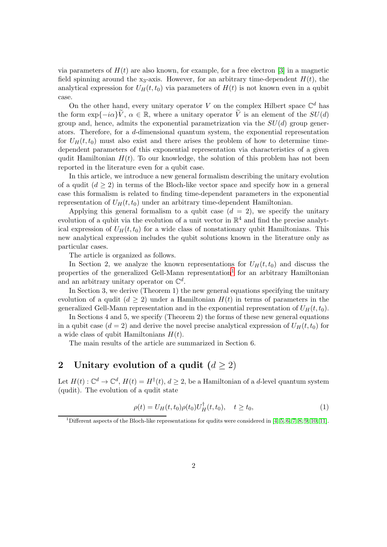via parameters of  $H(t)$  are also known, for example, for a free electron [\[3\]](#page-24-2) in a magnetic field spinning around the x<sub>3</sub>-axis. However, for an arbitrary time-dependent  $H(t)$ , the analytical expression for  $U_H(t, t_0)$  via parameters of  $H(t)$  is not known even in a qubit case.

On the other hand, every unitary operator V on the complex Hilbert space  $\mathbb{C}^d$  has the form  $\exp{-i\alpha}\tilde{V}$ ,  $\alpha \in \mathbb{R}$ , where a unitary operator  $\tilde{V}$  is an element of the  $SU(d)$ group and, hence, admits the exponential parametrization via the  $SU(d)$  group generators. Therefore, for a d-dimensional quantum system, the exponential representation for  $U_H(t, t_0)$  must also exist and there arises the problem of how to determine timedependent parameters of this exponential representation via characteristics of a given qudit Hamiltonian  $H(t)$ . To our knowledge, the solution of this problem has not been reported in the literature even for a qubit case.

In this article, we introduce a new general formalism describing the unitary evolution of a qudit  $(d \geq 2)$  in terms of the Bloch-like vector space and specify how in a general case this formalism is related to finding time-dependent parameters in the exponential representation of  $U_H(t, t_0)$  under an arbitrary time-dependent Hamiltonian.

Applying this general formalism to a qubit case  $(d = 2)$ , we specify the unitary evolution of a qubit via the evolution of a unit vector in  $\mathbb{R}^4$  and find the precise analytical expression of  $U_H(t, t_0)$  for a wide class of nonstationary qubit Hamiltonians. This new analytical expression includes the qubit solutions known in the literature only as particular cases.

The article is organized as follows.

In Section 2, we analyze the known representations for  $U_H(t, t_0)$  and discuss the properties of the generalized Gell-Mann representation<sup>[1](#page-1-0)</sup> for an arbitrary Hamiltonian and an arbitrary unitary operator on  $\mathbb{C}^d$ .

In Section 3, we derive (Theorem 1) the new general equations specifying the unitary evolution of a qudit  $(d \geq 2)$  under a Hamiltonian  $H(t)$  in terms of parameters in the generalized Gell-Mann representation and in the exponential representation of  $U_H(t, t_0)$ .

In Sections 4 and 5, we specify (Theorem 2) the forms of these new general equations in a qubit case  $(d = 2)$  and derive the novel precise analytical expression of  $U_H(t, t_0)$  for a wide class of qubit Hamiltonians  $H(t)$ .

The main results of the article are summarized in Section 6.

### 2 Unitary evolution of a qudit  $(d \ge 2)$

Let  $H(t): \mathbb{C}^d \to \mathbb{C}^d$ ,  $H(t) = H^{\dagger}(t)$ ,  $d \geq 2$ , be a Hamiltonian of a *d*-level quantum system (qudit). The evolution of a qudit state

$$
\rho(t) = U_H(t, t_0) \rho(t_0) U_H^{\dagger}(t, t_0), \quad t \ge t_0,
$$
\n(1)

<span id="page-1-0"></span><sup>&</sup>lt;sup>1</sup>Different aspects of the Bloch-like representations for qudits were considered in [\[4,](#page-24-3) [5,](#page-25-0) [6,](#page-25-1) [7,](#page-25-2) [8,](#page-25-3) [9,](#page-25-4) [10,](#page-25-5) [11\]](#page-25-6).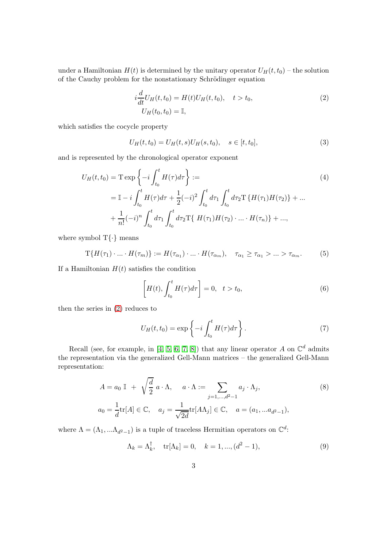under a Hamiltonian  $H(t)$  is determined by the unitary operator  $U_H(t, t_0)$  – the solution of the Cauchy problem for the nonstationary Schrödinger equation

<span id="page-2-1"></span>
$$
i\frac{d}{dt}U_H(t, t_0) = H(t)U_H(t, t_0), \quad t > t_0,
$$
  
\n
$$
U_H(t_0, t_0) = \mathbb{I},
$$
\n(2)

which satisfies the cocycle property

<span id="page-2-6"></span><span id="page-2-0"></span>
$$
U_H(t, t_0) = U_H(t, s)U_H(s, t_0), \quad s \in [t, t_0],
$$
\n(3)

and is represented by the chronological operator exponent

$$
U_H(t, t_0) = \mathcal{T} \exp \left\{-i \int_{t_0}^t H(\tau) d\tau\right\} :=
$$
\n
$$
= \mathbb{I} - i \int_{t_0}^t H(\tau) d\tau + \frac{1}{2} (-i)^2 \int_{t_0}^t d\tau_1 \int_{t_0}^t d\tau_2 \mathcal{T} \left\{H(\tau_1)H(\tau_2)\right\} + \dots
$$
\n
$$
+ \frac{1}{n!} (-i)^n \int_{t_0}^t d\tau_1 \int_{t_0}^t d\tau_2 \mathcal{T} \left\{H(\tau_1)H(\tau_2) \cdot \dots \cdot H(\tau_n)\right\} + \dots,
$$
\n(4)

where symbol  $T\{\cdot\}$  means

<span id="page-2-5"></span>
$$
T\{H(\tau_1)\cdot\ldots\cdot H(\tau_m)\}:=H(\tau_{\alpha_1})\cdot\ldots\cdot H(\tau_{\alpha_m}),\quad \tau_{\alpha_1}\geq \tau_{\alpha_1}>\ldots>\tau_{\alpha_m}.\tag{5}
$$

If a Hamiltonian  $H(t)$  satisfies the condition

<span id="page-2-3"></span>
$$
\[H(t), \int_{t_0}^t H(\tau)d\tau\] = 0, \quad t > t_0,\tag{6}
$$

then the series in [\(2\)](#page-2-1) reduces to

<span id="page-2-4"></span><span id="page-2-2"></span>
$$
U_H(t, t_0) = \exp\left\{-i \int_{t_0}^t H(\tau) d\tau\right\}.
$$
 (7)

Recall (see, for example, in [\[4,](#page-24-3) [5,](#page-25-0) [6,](#page-25-1) [7,](#page-25-2) [8\]](#page-25-3)) that any linear operator A on  $\mathbb{C}^d$  admits the representation via the generalized Gell-Mann matrices – the generalized Gell-Mann representation:

$$
A = a_0 \mathbb{I} + \sqrt{\frac{d}{2}} a \cdot \Lambda, \quad a \cdot \Lambda := \sum_{j=1,\dots,d^2-1} a_j \cdot \Lambda_j,
$$
  
\n
$$
a_0 = \frac{1}{d} tr[A] \in \mathbb{C}, \quad a_j = \frac{1}{\sqrt{2d}} tr[A\Lambda_j] \in \mathbb{C}, \quad a = (a_1, \dots a_{d^2-1}),
$$
  
\n(8)

where  $\Lambda = (\Lambda_1, ... \Lambda_{d^2-1})$  is a tuple of traceless Hermitian operators on  $\mathbb{C}^d$ :

$$
\Lambda_k = \Lambda_k^{\dagger}, \quad \text{tr}[\Lambda_k] = 0, \quad k = 1, ..., (d^2 - 1), \tag{9}
$$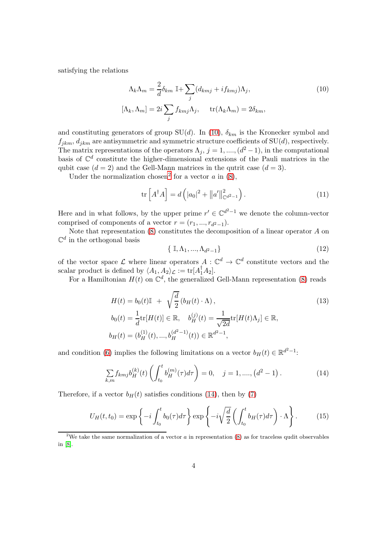satisfying the relations

<span id="page-3-0"></span>
$$
\Lambda_k \Lambda_m = \frac{2}{d} \delta_{km} \mathbb{I} + \sum_j (d_{kmj} + i f_{kmj}) \Lambda_j,
$$
\n
$$
[\Lambda_k, \Lambda_m] = 2i \sum_j f_{kmj} \Lambda_j, \quad \text{tr}(\Lambda_k \Lambda_m) = 2 \delta_{km},
$$
\n(10)

and constituting generators of group  $SU(d)$ . In [\(10\)](#page-3-0),  $\delta_{km}$  is the Kronecker symbol and  $f_{jkm}$ ,  $d_{jkm}$  are antisymmetric and symmetric structure coefficients of SU(d), respectively. The matrix representations of the operators  $\Lambda_j$ ,  $j = 1, \ldots, (d^2 - 1)$ , in the computational basis of  $\mathbb{C}^d$  constitute the higher-dimensional extensions of the Pauli matrices in the qubit case  $(d = 2)$  and the Gell-Mann matrices in the qutrit case  $(d = 3)$ .

Under the normalization chosen<sup>[2](#page-3-1)</sup> for a vector  $a$  in  $(8)$ ,

$$
\operatorname{tr}\left[A^{\dagger}A\right] = d\left(|a_0|^2 + ||a'||_{\mathbb{C}^{d^2-1}}^2\right). \tag{11}
$$

Here and in what follows, by the upper prime  $r' \in \mathbb{C}^{d^2-1}$  we denote the column-vector comprised of components of a vector  $r = (r_1, ..., r_{d^2-1}).$ 

Note that representation  $(8)$  constitutes the decomposition of a linear operator  $A$  on  $\mathbb{C}^d$  in the orthogonal basis

<span id="page-3-4"></span>
$$
\{ \mathbb{I}, \Lambda_1, \ldots, \Lambda_{d^2 - 1} \} \tag{12}
$$

of the vector space  $\mathcal L$  where linear operators  $A: \mathbb C^d \to \mathbb C^d$  constitute vectors and the scalar product is defined by  $\langle A_1, A_2 \rangle_{\mathcal{L}} := \text{tr}[A_1^{\dagger} A_2].$ 

For a Hamiltonian  $H(t)$  on  $\mathbb{C}^d$ , the generalized Gell-Mann representation [\(8\)](#page-2-2) reads

$$
H(t) = b_0(t)\mathbb{I} + \sqrt{\frac{d}{2}} (b_H(t) \cdot \Lambda),
$$
  
\n
$$
b_0(t) = \frac{1}{d} tr[H(t)] \in \mathbb{R}, \quad b_H^{(j)}(t) = \frac{1}{\sqrt{2d}} tr[H(t)\Lambda_j] \in \mathbb{R},
$$
  
\n
$$
b_H(t) = (b_H^{(1)}(t), ..., b_H^{(d^2-1)}(t)) \in \mathbb{R}^{d^2-1},
$$
\n(13)

and condition [\(6\)](#page-2-3) implies the following limitations on a vector  $b_H(t) \in \mathbb{R}^{d^2-1}$ :

<span id="page-3-2"></span>
$$
\sum_{k,m} f_{kmj} b_H^{(k)}(t) \left( \int_{t_0}^t b_H^{(m)}(\tau) d\tau \right) = 0, \quad j = 1, \dots, \left( d^2 - 1 \right). \tag{14}
$$

Therefore, if a vector  $b_H(t)$  satisfies conditions [\(14\)](#page-3-2), then by [\(7\)](#page-2-4)

<span id="page-3-3"></span>
$$
U_H(t,t_0) = \exp\left\{-i \int_{t_0}^t b_0(\tau) d\tau\right\} \exp\left\{-i \sqrt{\frac{d}{2}} \left(\int_{t_0}^t b_H(\tau) d\tau\right) \cdot \Lambda\right\}.
$$
 (15)

<span id="page-3-1"></span><sup>&</sup>lt;sup>2</sup>We take the same normalization of a vector  $a$  in representation [\(8\)](#page-2-2) as for traceless qudit observables in [\[8\]](#page-25-3).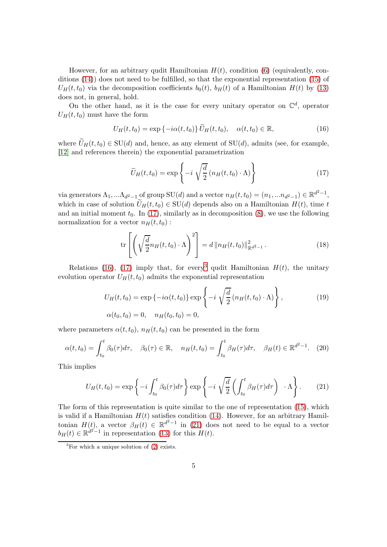However, for an arbitrary qudit Hamiltonian  $H(t)$ , condition [\(6\)](#page-2-3) (equivalently, conditions [\(14\)](#page-3-2)) does not need to be fulfilled, so that the exponential representation [\(15\)](#page-3-3) of  $U_H(t, t_0)$  via the decomposition coefficients  $b_0(t)$ ,  $b_H(t)$  of a Hamiltonian  $H(t)$  by [\(13\)](#page-3-4) does not, in general, hold.

On the other hand, as it is the case for every unitary operator on  $\mathbb{C}^d$ , operator  $U_H(t,t_0)$  must have the form

<span id="page-4-1"></span>
$$
U_H(t, t_0) = \exp\left\{-i\alpha(t, t_0)\right\}\widetilde{U}_H(t, t_0), \quad \alpha(t, t_0) \in \mathbb{R},\tag{16}
$$

where  $\widetilde{U}_H(t, t_0) \in SU(d)$  and, hence, as any element of  $SU(d)$ , admits (see, for example, [\[12\]](#page-25-7) and references therein) the exponential parametrization

<span id="page-4-0"></span>
$$
\widetilde{U}_H(t,t_0) = \exp\left\{-i\sqrt{\frac{d}{2}}\left(n_H(t,t_0)\cdot\Lambda\right)\right\} \tag{17}
$$

via generators  $\Lambda_1, \ldots, \Lambda_{d^2-1}$  of group  $SU(d)$  and a vector  $n_H(t, t_0) = (n_1, \ldots, n_{d^2-1}) \in \mathbb{R}^{d^2-1}$ , which in case of solution  $\widetilde{U}_H(t, t_0) \in SU(d)$  depends also on a Hamiltonian  $H(t)$ , time t and an initial moment  $t_0$ . In [\(17\)](#page-4-0), similarly as in decomposition [\(8\)](#page-2-2), we use the following normalization for a vector  $n_H(t, t_0)$ :

<span id="page-4-4"></span>
$$
\operatorname{tr}\left[\left(\sqrt{\frac{d}{2}}n_H(t,t_0)\cdot\Lambda\right)^2\right] = d\|n_H(t,t_0)\|_{\mathbb{R}^{d^2-1}}^2.
$$
 (18)

Relations [\(16\)](#page-4-1), [\(17\)](#page-4-0) imply that, for every<sup>[3](#page-4-2)</sup> qudit Hamiltonian  $H(t)$ , the unitary evolution operator  $U_H(t, t_0)$  admits the exponential representation

$$
U_H(t, t_0) = \exp\{-i\alpha(t, t_0)\} \exp\left\{-i\sqrt{\frac{d}{2}}(n_H(t, t_0) \cdot \Lambda)\right\},\tag{19}
$$

$$
\alpha(t_0, t_0) = 0, \quad n_H(t_0, t_0) = 0,
$$

where parameters  $\alpha(t, t_0)$ ,  $n_H(t, t_0)$  can be presented in the form

$$
\alpha(t, t_0) = \int_{t_0}^t \beta_0(\tau) d\tau, \quad \beta_0(\tau) \in \mathbb{R}, \quad n_H(t, t_0) = \int_{t_0}^t \beta_H(\tau) d\tau, \quad \beta_H(t) \in \mathbb{R}^{d^2 - 1}.
$$
 (20)

This implies

<span id="page-4-3"></span>
$$
U_H(t,t_0) = \exp\left\{-i \int_{t_0}^t \beta_0(\tau) d\tau\right\} \exp\left\{-i \sqrt{\frac{d}{2}} \left(\int_{t_0}^t \beta_H(\tau) d\tau\right) \cdot \Lambda\right\}.
$$
 (21)

The form of this representation is quite similar to the one of representation [\(15\)](#page-3-3), which is valid if a Hamiltonian  $H(t)$  satisfies condition [\(14\)](#page-3-2). However, for an arbitrary Hamiltonian  $H(t)$ , a vector  $\beta_H(t) \in \mathbb{R}^{d^2-1}$  in [\(21\)](#page-4-3) does not need to be equal to a vector  $b_H(t) \in \mathbb{R}^{d^2-1}$  in representation [\(13\)](#page-3-4) for this  $H(t)$ .

<span id="page-4-2"></span><sup>&</sup>lt;sup>3</sup>For which a unique solution of  $(2)$  exists.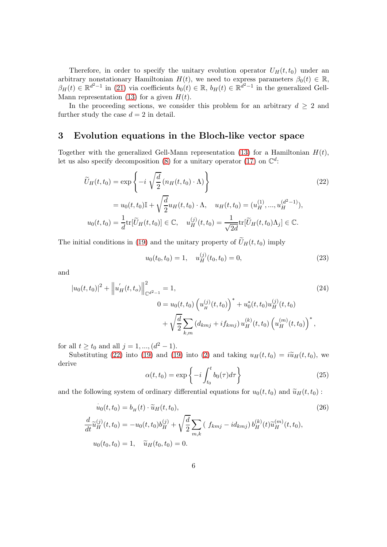Therefore, in order to specify the unitary evolution operator  $U_H(t, t_0)$  under an arbitrary nonstationary Hamiltonian  $H(t)$ , we need to express parameters  $\beta_0(t) \in \mathbb{R}$ ,  $\beta_H(t) \in \mathbb{R}^{d^2-1}$  in [\(21\)](#page-4-3) via coefficients  $b_0(t) \in \mathbb{R}$ ,  $b_H(t) \in \mathbb{R}^{d^2-1}$  in the generalized Gell-Mann representation [\(13\)](#page-3-4) for a given  $H(t)$ .

In the proceeding sections, we consider this problem for an arbitrary  $d \geq 2$  and further study the case  $d = 2$  in detail.

#### 3 Evolution equations in the Bloch-like vector space

Together with the generalized Gell-Mann representation [\(13\)](#page-3-4) for a Hamiltonian  $H(t)$ , let us also specify decomposition [\(8\)](#page-2-2) for a unitary operator [\(17\)](#page-4-0) on  $\mathbb{C}^d$ :

$$
\widetilde{U}_H(t, t_0) = \exp\left\{-i \sqrt{\frac{d}{2}} \left( n_H(t, t_0) \cdot \Lambda \right) \right\}
$$
\n
$$
= u_0(t, t_0) \mathbb{I} + \sqrt{\frac{d}{2}} u_H(t, t_0) \cdot \Lambda, \quad u_H(t, t_0) = (u_H^{(1)}, ..., u_H^{(d^2 - 1)}),
$$
\n
$$
u_0(t, t_0) = \frac{1}{d} \text{tr}[\widetilde{U}_H(t, t_0)] \in \mathbb{C}, \quad u_H^{(j)}(t, t_0) = \frac{1}{\sqrt{2d}} \text{tr}[\widetilde{U}_H(t, t_0) \Lambda_j] \in \mathbb{C}.
$$
\n(22)

The initial conditions in [\(19\)](#page-4-4) and the unitary property of  $\widetilde{U}_H(t, t_0)$  imply

<span id="page-5-1"></span><span id="page-5-0"></span>
$$
u_0(t_0, t_0) = 1, \quad u_H^{(j)}(t_0, t_0) = 0,\tag{23}
$$

and

$$
|u_0(t, t_0)|^2 + ||u'_H(t, t_o)||_{\mathbb{C}^{d^2-1}}^2 = 1,
$$
\n
$$
0 = u_0(t, t_0) \left(u_H^{(j)}(t, t_0)\right)^* + u_0^*(t, t_0)u_H^{(j)}(t, t_0)
$$
\n
$$
+ \sqrt{\frac{d}{2}} \sum_{k,m} \left(d_{kmj} + if_{kmj}\right) u_H^{(k)}(t, t_0) \left(u_H^{(m)}(t, t_0)\right)^*,
$$
\n(24)

for all  $t \ge t_0$  and all  $j = 1, ..., (d^2 - 1)$ .

Substituting [\(22\)](#page-5-0) into [\(19\)](#page-4-4) and (19) into [\(2\)](#page-2-1) and taking  $u_H(t, t_0) = i\tilde{u}_H(t, t_0)$ , we derive

<span id="page-5-2"></span>
$$
\alpha(t, t_0) = \exp\left\{-i \int_{t_0}^t b_0(\tau) d\tau\right\}
$$
\n(25)

and the following system of ordinary differential equations for  $u_0(t, t_0)$  and  $\tilde{u}_H(t, t_0)$ :

$$
\dot{u}_0(t, t_0) = b_H(t) \cdot \tilde{u}_H(t, t_0),
$$
\n
$$
\frac{d}{dt} \tilde{u}_H^{(j)}(t, t_0) = -u_0(t, t_0)b_H^{(j)} + \sqrt{\frac{d}{2}} \sum_{m,k} (f_{kmj} - id_{kmj}) b_H^{(k)}(t) \tilde{u}_H^{(m)}(t, t_0),
$$
\n
$$
u_0(t_0, t_0) = 1, \quad \tilde{u}_H(t_0, t_0) = 0.
$$
\n(26)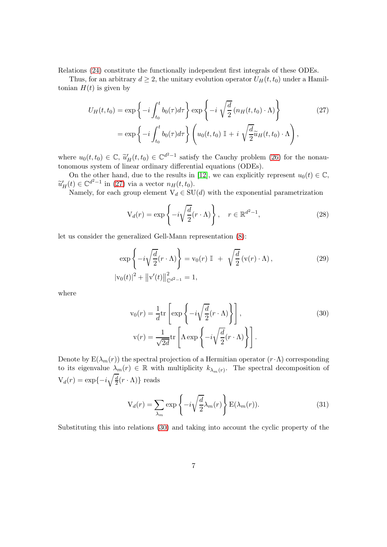Relations [\(24\)](#page-5-1) constitute the functionally independent first integrals of these ODEs.

Thus, for an arbitrary  $d \geq 2$ , the unitary evolution operator  $U_H(t, t_0)$  under a Hamiltonian  $H(t)$  is given by

$$
U_H(t, t_0) = \exp\left\{-i \int_{t_0}^t b_0(\tau) d\tau\right\} \exp\left\{-i \sqrt{\frac{d}{2}} \left(n_H(t, t_0) \cdot \Lambda\right)\right\}
$$
(27)  
= 
$$
\exp\left\{-i \int_{t_0}^t b_0(\tau) d\tau\right\} \left(u_0(t, t_0) \mathbb{I} + i \sqrt{\frac{d}{2}} \tilde{u}_H(t, t_0) \cdot \Lambda\right),
$$

where  $u_0(t, t_0) \in \mathbb{C}$ ,  $\tilde{u}'_H(t, t_0) \in \mathbb{C}^{d^2-1}$  satisfy the Cauchy problem [\(26\)](#page-5-2) for the nonautonomous system of linear ordinary differential equations (ODEs).

On the other hand, due to the results in [\[12\]](#page-25-7), we can explicitly represent  $u_0(t) \in \mathbb{C}$ ,  $\widetilde{u}'_H(t) \in \mathbb{C}^{d^2-1}$  in [\(27\)](#page-6-0) via a vector  $n_H(t, t_0)$ .

Namely, for each group element  $V_d \in SU(d)$  with the exponential parametrization

<span id="page-6-0"></span>
$$
V_d(r) = \exp\left\{-i\sqrt{\frac{d}{2}}(r \cdot \Lambda)\right\}, \quad r \in \mathbb{R}^{d^2 - 1},\tag{28}
$$

let us consider the generalized Gell-Mann representation [\(8\)](#page-2-2):

$$
\exp\left\{-i\sqrt{\frac{d}{2}}(r \cdot \Lambda)\right\} = \mathbf{v}_0(r) \mathbb{I} + \sqrt{\frac{d}{2}}(\mathbf{v}(r) \cdot \Lambda),
$$
\n
$$
|\mathbf{v}_0(t)|^2 + ||\mathbf{v}'(t)||_{\mathbb{C}^{d^2 - 1}}^2 = 1,
$$
\n(29)

where

<span id="page-6-2"></span><span id="page-6-1"></span>
$$
v_0(r) = \frac{1}{d} \text{tr} \left[ \exp \left\{-i \sqrt{\frac{d}{2}} (r \cdot \Lambda) \right\} \right],
$$
\n
$$
v(r) = \frac{1}{\sqrt{2d}} \text{tr} \left[ \Lambda \exp \left\{-i \sqrt{\frac{d}{2}} (r \cdot \Lambda) \right\} \right].
$$
\n(30)

Denote by  $E(\lambda_m(r))$  the spectral projection of a Hermitian operator  $(r \cdot \Lambda)$  corresponding to its eigenvalue  $\lambda_m(r) \in \mathbb{R}$  with multiplicity  $k_{\lambda_m(r)}$ . The spectral decomposition of  $V_d(r) = \exp\{-i\sqrt{\frac{d}{2}}\}$  $\frac{d}{2}(r \cdot \Lambda)$ } reads

$$
V_d(r) = \sum_{\lambda_m} \exp\left\{-i\sqrt{\frac{d}{2}}\lambda_m(r)\right\} E(\lambda_m(r)).
$$
\n(31)

Substituting this into relations [\(30\)](#page-6-1) and taking into account the cyclic property of the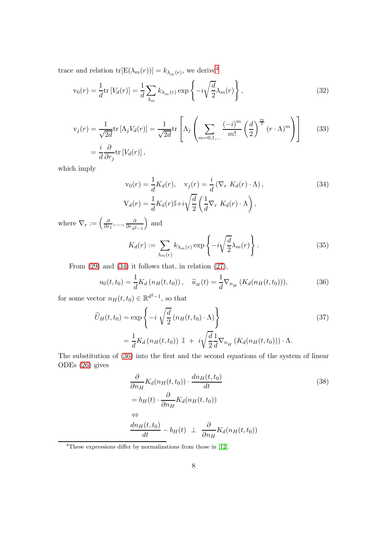trace and relation  $\text{tr}[\text{E}(\lambda_m(r))] = k_{\lambda_m(r)}$ , we derive<sup>[4](#page-7-0)</sup>

$$
v_0(r) = \frac{1}{d} tr \left[ V_d(r) \right] = \frac{1}{d} \sum_{\lambda_m} k_{\lambda_m(r)} \exp \left\{ -i \sqrt{\frac{d}{2}} \lambda_m(r) \right\},\tag{32}
$$

$$
v_j(r) = \frac{1}{\sqrt{2d}} \text{tr} \left[ \Lambda_j V_d(r) \right] = \frac{1}{\sqrt{2d}} \text{tr} \left[ \Lambda_j \left( \sum_{m=0,1,\dots} \frac{(-i)^m}{m!} \left( \frac{d}{2} \right)^{\frac{m}{2}} (r \cdot \Lambda)^m \right) \right]
$$
(33)  

$$
= \frac{i}{d} \frac{\partial}{\partial r_j} \text{tr} \left[ V_d(r) \right],
$$

which imply

<span id="page-7-1"></span>
$$
\mathbf{v}_0(r) = \frac{1}{d} K_d(r), \quad \mathbf{v}_j(r) = \frac{i}{d} \left( \nabla_r K_d(r) \cdot \Lambda \right),
$$
\n
$$
\mathbf{V}_d(r) = \frac{1}{d} K_d(r) \mathbb{I} + i \sqrt{\frac{d}{2}} \left( \frac{1}{d} \nabla_r K_d(r) \cdot \Lambda \right),
$$
\n(34)

where  $\nabla_r := \left(\frac{\partial}{\partial r}\right)^r$  $\frac{\partial}{\partial r_1},...,\frac{\partial}{\partial r_{d^2}}$  $\partial r_{d^2-1}$ ) and

<span id="page-7-3"></span>
$$
K_d(r) := \sum_{\lambda_m(r)} k_{\lambda_m(r)} \exp\left\{-i\sqrt{\frac{d}{2}}\lambda_m(r)\right\}.
$$
 (35)

From [\(29\)](#page-6-2) and [\(34\)](#page-7-1) it follows that, in relation [\(27\)](#page-6-0),

<span id="page-7-2"></span>
$$
u_0(t, t_0) = \frac{1}{d} K_d \left( n_H(t, t_0) \right), \quad \tilde{u}_H(t) = \frac{1}{d} \nabla_{n_H} \left( K_d(n_H(t, t_0)) \right), \tag{36}
$$

for some vector  $n_H(t, t_0) \in \mathbb{R}^{d^2-1}$ , so that

$$
\widetilde{U}_H(t, t_0) = \exp\left\{-i \sqrt{\frac{d}{2}} \left(n_H(t, t_0) \cdot \Lambda\right)\right\}
$$
\n
$$
= \frac{1}{d} K_d \left(n_H(t, t_0)\right) \mathbb{I} + i \sqrt{\frac{d}{2}} \frac{1}{d} \nabla_{n_H} \left(K_d(n_H(t, t_0))\right) \cdot \Lambda.
$$
\n(37)

The substitution of [\(36\)](#page-7-2) into the first and the second equations of the system of linear ODEs [\(26\)](#page-5-2) gives

<span id="page-7-4"></span>
$$
\frac{\partial}{\partial n_H} K_d(n_H(t, t_0)) \cdot \frac{dn_H(t, t_0)}{dt}
$$
\n
$$
= b_H(t) \cdot \frac{\partial}{\partial n_H} K_d(n_H(t, t_0))
$$
\n
$$
\Leftrightarrow
$$
\n
$$
\frac{dn_H(t, t_0)}{dt} - b_H(t) \perp \frac{\partial}{\partial n_H} K_d(n_H(t, t_0))
$$
\n(38)

<span id="page-7-0"></span><sup>4</sup>These expressions differ by normalizations from those in [\[12\]](#page-25-7).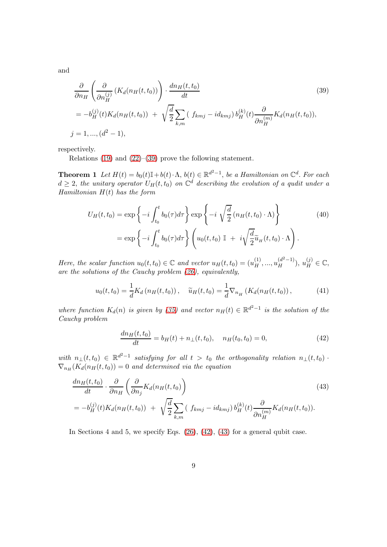and

<span id="page-8-0"></span>
$$
\frac{\partial}{\partial n_H} \left( \frac{\partial}{\partial n_H^{(j)}} \left( K_d(n_H(t, t_0)) \right) \cdot \frac{dn_H(t, t_0)}{dt} \right)
$$
\n
$$
= -b_H^{(j)}(t) K_d(n_H(t, t_0)) + \sqrt{\frac{d}{2}} \sum_{k,m} \left( f_{kmj} - id_{kmj} \right) b_H^{(k)}(t) \frac{\partial}{\partial n_H^{(m)}} K_d(n_H(t, t_0)),
$$
\n
$$
j = 1, ..., (d^2 - 1),
$$
\n(39)

respectively.

Relations [\(19\)](#page-4-4) and [\(22\)](#page-5-0)–[\(39\)](#page-8-0) prove the following statement.

**Theorem 1** Let  $H(t) = b_0(t)\mathbb{I} + b(t) \cdot \Lambda$ ,  $b(t) \in \mathbb{R}^{d^2-1}$ , be a Hamiltonian on  $\mathbb{C}^d$ . For each  $d \geq 2$ , the unitary operator  $U_H(t,t_0)$  on  $\mathbb{C}^d$  describing the evolution of a qudit under a *Hamiltonian* H(t) *has the form*

<span id="page-8-3"></span>
$$
U_H(t,t_0) = \exp\left\{-i \int_{t_0}^t b_0(\tau) d\tau\right\} \exp\left\{-i \sqrt{\frac{d}{2}} \left(n_H(t,t_0) \cdot \Lambda\right)\right\}
$$
  
= 
$$
\exp\left\{-i \int_{t_0}^t b_0(\tau) d\tau\right\} \left(u_0(t,t_0) \mathbb{I} + i \sqrt{\frac{d}{2}} \widetilde{u}_H(t,t_0) \cdot \Lambda\right).
$$
 (40)

*Here, the scalar function*  $u_0(t, t_0) \in \mathbb{C}$  *and vector*  $u_H(t, t_0) = (u_H^{(1)})$  $\binom{1}{H}, \ldots, \binom{d^2-1}{H}$  $\left(\begin{matrix} d^2-1 \\ H \end{matrix}\right), u_H^{(j)} \in \mathbb{C},$ *are the solutions of the Cauchy problem [\(26\)](#page-5-2), equivalently,*

<span id="page-8-4"></span>
$$
u_0(t, t_0) = \frac{1}{d} K_d \left( n_H(t, t_0) \right), \quad \tilde{u}_H(t, t_0) = \frac{1}{d} \nabla_{n_H} \left( K_d(n_H(t, t_0)) \right), \tag{41}
$$

*where function*  $K_d(n)$  *is given by* [\(35\)](#page-7-3) and vector  $n_H(t) \in \mathbb{R}^{d^2-1}$  *is the solution of the Cauchy problem*

<span id="page-8-2"></span><span id="page-8-1"></span>
$$
\frac{dn_H(t, t_0)}{dt} = b_H(t) + n_\perp(t, t_0), \quad n_H(t_0, t_0) = 0,\tag{42}
$$

 $with \ \ n_{\perp}(t,t_0) \ \in \ \mathbb{R}^{d^2-1} \ \ satisfying \ \ for \ \ all \ \ t \ > \ t_0 \ \ the \ \ orthogonality \ \ relation \ \ n_{\perp}(t,t_0) \ \cdot$  $\nabla_{n_H}(K_d(n_H(t,t_0)) = 0$  and determined via the equation

$$
\frac{dn_H(t,t_0)}{dt} \cdot \frac{\partial}{\partial n_H} \left( \frac{\partial}{\partial n_j} K_d(n_H(t,t_0)) \right)
$$
\n
$$
= -b_H^{(j)}(t) K_d(n_H(t,t_0)) + \sqrt{\frac{d}{2}} \sum_{k,m} \left( f_{kmj} - id_{kmj} \right) b_H^{(k)}(t) \frac{\partial}{\partial n_H^{(m)}} K_d(n_H(t,t_0)).
$$
\n(43)

In Sections 4 and 5, we specify Eqs. [\(26\)](#page-5-2), [\(42\)](#page-8-1), [\(43\)](#page-8-2) for a general qubit case.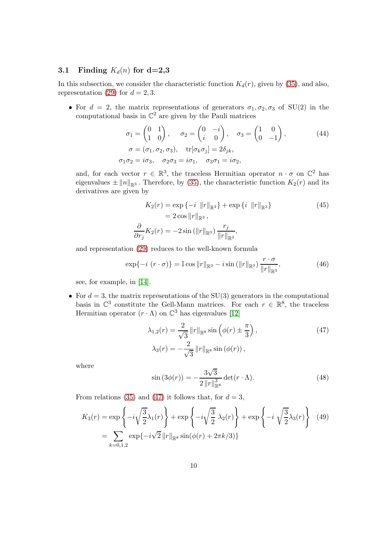#### 3.1 Finding  $K_d(n)$  for d=2,3

In this subsection, we consider the characteristic function  $K_d(r)$ , given by [\(35\)](#page-7-3), and also, representation [\(29\)](#page-6-2) for  $d = 2, 3$ .

• For  $d = 2$ , the matrix representations of generators  $\sigma_1, \sigma_2, \sigma_3$  of SU(2) in the computational basis in  $\mathbb{C}^2$  are given by the Pauli matrices

$$
\sigma_1 = \begin{pmatrix} 0 & 1 \\ 1 & 0 \end{pmatrix}, \quad \sigma_2 = \begin{pmatrix} 0 & -i \\ i & 0 \end{pmatrix}, \quad \sigma_3 = \begin{pmatrix} 1 & 0 \\ 0 & -1 \end{pmatrix},
$$
  
\n
$$
\sigma = (\sigma_1, \sigma_2, \sigma_3), \quad \text{tr}[\sigma_k \sigma_j] = 2\delta_{jk},
$$
  
\n
$$
\sigma_1 \sigma_2 = i\sigma_3, \quad \sigma_2 \sigma_3 = i\sigma_1, \quad \sigma_3 \sigma_1 = i\sigma_2,
$$
\n(44)

and, for each vector  $r \in \mathbb{R}^3$ , the traceless Hermitian operator  $n \cdot \sigma$  on  $\mathbb{C}^2$  has eigenvalues  $\pm \|n\|_{\mathbb{R}^3}$ . Therefore, by [\(35\)](#page-7-3), the characteristic function  $K_2(r)$  and its derivatives are given by

<span id="page-9-2"></span>
$$
K_2(r) = \exp\{-i \|r\|_{\mathbb{R}^3}\} + \exp\{i \|r\|_{\mathbb{R}^3}\}
$$
  
=  $2 \cos \|r\|_{\mathbb{R}^3}$ ,  

$$
\frac{\partial}{\partial r_j} K_2(r) = -2 \sin(\|r\|_{\mathbb{R}^3}) \frac{r_j}{\|r\|_{\mathbb{R}^3}},
$$
 (45)

and representation [\(29\)](#page-6-2) reduces to the well-known formula

$$
\exp\{-i\ (r \cdot \sigma)\} = \mathbb{I}\cos \|r\|_{\mathbb{R}^3} - i\sin(\|r\|_{\mathbb{R}^3})\frac{r \cdot \sigma}{\|r\|_{\mathbb{R}^3}},\tag{46}
$$

see, for example, in [\[14\]](#page-25-8).

• For  $d = 3$ , the matrix representations of the SU(3) generators in the computational basis in  $\mathbb{C}^3$  constitute the Gell-Mann matrices. For each  $r \in \mathbb{R}^8$ , the traceless Hermitian operator  $(r \cdot \Lambda)$  on  $\mathbb{C}^3$  has eigenvalues [\[12\]](#page-25-7)

<span id="page-9-0"></span>
$$
\lambda_{1,2}(r) = \frac{2}{\sqrt{3}} ||r||_{\mathbb{R}^8} \sin \left(\phi(r) \pm \frac{\pi}{3}\right),
$$
\n
$$
\lambda_3(r) = -\frac{2}{\sqrt{3}} ||r||_{\mathbb{R}^8} \sin \left(\phi(r)\right),
$$
\n(47)

where

<span id="page-9-3"></span><span id="page-9-1"></span>
$$
\sin\left(3\phi(r)\right) = -\frac{3\sqrt{3}}{2\left\|r\right\|_{\mathbb{R}^8}^3} \det(r \cdot \Lambda). \tag{48}
$$

From relations [\(35\)](#page-7-3) and [\(47\)](#page-9-0) it follows that, for  $d = 3$ ,

$$
K_3(r) = \exp\left\{-i\sqrt{\frac{3}{2}}\lambda_1(r)\right\} + \exp\left\{-i\sqrt{\frac{3}{2}}\lambda_2(r)\right\} + \exp\left\{-i\sqrt{\frac{3}{2}}\lambda_3(r)\right\} \tag{49}
$$

$$
= \sum_{k=0,1,2} \exp\{-i\sqrt{2} ||r||_{\mathbb{R}^8} \sin(\phi(r) + 2\pi k/3)\}
$$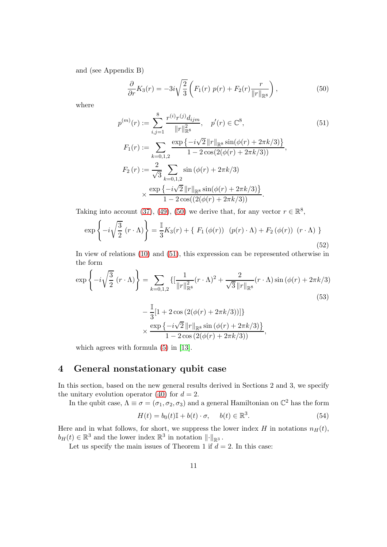and (see Appendix B)

<span id="page-10-1"></span><span id="page-10-0"></span>
$$
\frac{\partial}{\partial r}K_3(r) = -3i\sqrt{\frac{2}{3}} \left( F_1(r) p(r) + F_2(r) \frac{r}{\|r\|_{\mathbb{R}^8}} \right),\tag{50}
$$

where

$$
p^{(m)}(r) := \sum_{i,j=1}^{8} \frac{r^{(i)}r^{(j)}d_{ijm}}{\|r\|_{\mathbb{R}^8}^2}, \quad p'(r) \in \mathbb{C}^8,
$$
\n(51)  
\n
$$
F_1(r) := \sum_{k=0,1,2} \frac{\exp\{-i\sqrt{2}\|r\|_{\mathbb{R}^8}\sin(\phi(r) + 2\pi k/3)\}}{1 - 2\cos(2(\phi(r) + 2\pi k/3))},
$$
\n
$$
F_2(r) := \frac{2}{\sqrt{3}} \sum_{k=0,1,2} \sin(\phi(r) + 2\pi k/3)
$$
\n
$$
\times \frac{\exp\{-i\sqrt{2}\|r\|_{\mathbb{R}^8}\sin(\phi(r) + 2\pi k/3)\}}{1 - 2\cos((2(\phi(r) + 2\pi k/3)))}.
$$
\n(51)

Taking into account [\(37\)](#page-7-4), [\(49\)](#page-9-1), [\(50\)](#page-10-0) we derive that, for any vector  $r \in \mathbb{R}^8$ ,

$$
\exp\left\{-i\sqrt{\frac{3}{2}}\left(r\cdot\Lambda\right)\right\} = \frac{\mathbb{I}}{3}K_3(r) + \left\{F_1\left(\phi(r)\right)\left(p(r)\cdot\Lambda\right) + F_2\left(\phi(r)\right)\left(r\cdot\Lambda\right)\right\}
$$
\n(52)

In view of relations [\(10\)](#page-3-0) and [\(51\)](#page-10-1), this expression can be represented otherwise in the form

$$
\exp\left\{-i\sqrt{\frac{3}{2}}(r\cdot\Lambda)\right\} = \sum_{k=0,1,2} \left\{ \left[\frac{1}{\|r\|_{\mathbb{R}^8}^2}(r\cdot\Lambda)^2 + \frac{2}{\sqrt{3}\|r\|_{\mathbb{R}^8}}(r\cdot\Lambda)\sin(\phi(r) + 2\pi k/3) - \frac{\mathbb{I}}{3}\left[1 + 2\cos(2(\phi(r) + 2\pi k/3))\right]\right\}
$$
\n
$$
\times \frac{\exp\left\{-i\sqrt{2}\|r\|_{\mathbb{R}^8}\sin(\phi(r) + 2\pi k/3)\right\}}{1 - 2\cos(2(\phi(r) + 2\pi k/3))},
$$
\n(53)

which agrees with formula [\(5\)](#page-2-5) in [\[13\]](#page-25-9).

### 4 General nonstationary qubit case

In this section, based on the new general results derived in Sections 2 and 3, we specify the unitary evolution operator [\(40\)](#page-8-3) for  $d = 2$ .

In the qubit case,  $\Lambda \equiv \sigma = (\sigma_1, \sigma_2, \sigma_3)$  and a general Hamiltonian on  $\mathbb{C}^2$  has the form

<span id="page-10-2"></span>
$$
H(t) = b_0(t)\mathbb{I} + b(t) \cdot \sigma, \quad b(t) \in \mathbb{R}^3.
$$
 (54)

Here and in what follows, for short, we suppress the lower index H in notations  $n_H(t)$ ,  $b_H(t) \in \mathbb{R}^3$  and the lower index  $\mathbb{R}^3$  in notation  $\lVert \cdot \rVert_{\mathbb{R}^3}$ .

Let us specify the main issues of Theorem 1 if  $d = 2$ . In this case: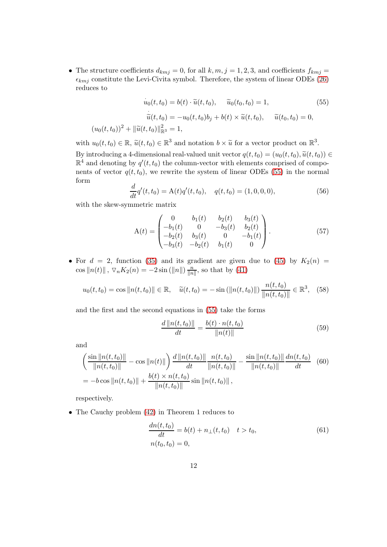• The structure coefficients  $d_{kmj} = 0$ , for all  $k, m, j = 1, 2, 3$ , and coefficients  $f_{kmj} =$  $\epsilon_{kmj}$  constitute the Levi-Civita symbol. Therefore, the system of linear ODEs [\(26\)](#page-5-2) reduces to

$$
\dot{u}_0(t, t_0) = b(t) \cdot \tilde{u}(t, t_0), \quad \tilde{u}_0(t_0, t_0) = 1,
$$
\n
$$
\dot{\tilde{u}}(t, t_0) = -u_0(t, t_0)b_j + b(t) \times \tilde{u}(t, t_0), \quad \tilde{u}(t_0, t_0) = 0,
$$
\n
$$
(u_0(t, t_0))^2 + ||\tilde{u}(t, t_0)||_{\mathbb{R}^3}^2 = 1,
$$
\n(55)

with  $u_0(t, t_0) \in \mathbb{R}$ ,  $\tilde{u}(t, t_0) \in \mathbb{R}^3$  and notation  $b \times \tilde{u}$  for a vector product on  $\mathbb{R}^3$ . By introducing a 4-dimensional real-valued unit vector  $q(t, t_0) = (u_0(t, t_0), \tilde{u}(t, t_0)) \in$  $\mathbb{R}^4$  and denoting by  $q'(t,t_0)$  the column-vector with elements comprised of components of vector  $q(t, t_0)$ , we rewrite the system of linear ODEs [\(55\)](#page-11-0) in the normal form

<span id="page-11-2"></span><span id="page-11-0"></span>
$$
\frac{d}{dt}q'(t,t_0) = A(t)q'(t,t_0), \quad q(t,t_0) = (1,0,0,0),\tag{56}
$$

with the skew-symmetric matrix

$$
A(t) = \begin{pmatrix} 0 & b_1(t) & b_2(t) & b_3(t) \\ -b_1(t) & 0 & -b_3(t) & b_2(t) \\ -b_2(t) & b_3(t) & 0 & -b_1(t) \\ -b_3(t) & -b_2(t) & b_1(t) & 0 \end{pmatrix}.
$$
 (57)

• For  $d = 2$ , function [\(35\)](#page-7-3) and its gradient are given due to [\(45\)](#page-9-2) by  $K_2(n) =$ cos  $||n(t)||$ ,  $\nabla_n K_2(n) = -2 \sin(||n||) \frac{n}{||n||}$  $\frac{n}{\|n\|}$ , so that by [\(41\)](#page-8-4)

$$
u_0(t, t_0) = \cos \|n(t, t_0)\| \in \mathbb{R}, \quad \tilde{u}(t, t_0) = -\sin(\|n(t, t_0)\|) \frac{n(t, t_0)}{\|n(t, t_0)\|} \in \mathbb{R}^3, \quad (58)
$$

and the first and the second equations in [\(55\)](#page-11-0) take the forms

$$
\frac{d\|n(t, t_0)\|}{dt} = \frac{b(t) \cdot n(t, t_0)}{\|n(t)\|} \tag{59}
$$

and

$$
\left(\frac{\sin||n(t, t_0)||}{||n(t, t_0)||} - \cos||n(t)||\right) \frac{d||n(t, t_0)||}{dt} - \frac{n(t, t_0)}{||n(t, t_0)||} - \frac{\sin||n(t, t_0)||}{||n(t, t_0)||} \frac{dn(t, t_0)}{dt} \quad (60)
$$

$$
= -b \cos||n(t, t_0)|| + \frac{b(t) \times n(t, t_0)}{||n(t, t_0)||} \sin||n(t, t_0)||,
$$

respectively.

• The Cauchy problem [\(42\)](#page-8-1) in Theorem 1 reduces to

<span id="page-11-1"></span>
$$
\frac{dn(t, t_0)}{dt} = b(t) + n_{\perp}(t, t_0) \quad t > t_0,
$$
  
\n
$$
n(t_0, t_0) = 0,
$$
\n(61)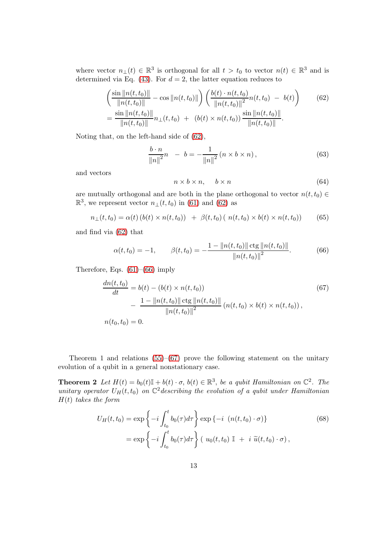where vector  $n_{\perp}(t) \in \mathbb{R}^3$  is orthogonal for all  $t > t_0$  to vector  $n(t) \in \mathbb{R}^3$  and is determined via Eq. [\(43\)](#page-8-2). For  $d = 2$ , the latter equation reduces to

$$
\left(\frac{\sin\|n(t,t_0)\|}{\|n(t,t_0)\|} - \cos\|n(t,t_0)\|\right) \left(\frac{b(t) \cdot n(t,t_0)}{\|n(t,t_0)\|^2}n(t,t_0) - b(t)\right) \tag{62}
$$
\n
$$
= \frac{\sin\|n(t,t_0)\|}{\|n(t,t_0)\|}n_{\perp}(t,t_0) + (b(t) \times n(t,t_0)) \frac{\sin\|n(t,t_0)\|}{\|n(t,t_0)\|}.
$$

Noting that, on the left-hand side of [\(62\)](#page-12-0),

$$
\frac{b \cdot n}{\|n\|^2}n - b = -\frac{1}{\|n\|^2} (n \times b \times n), \tag{63}
$$

and vectors

<span id="page-12-2"></span><span id="page-12-0"></span>
$$
n \times b \times n, \quad b \times n \tag{64}
$$

are mutually orthogonal and are both in the plane orthogonal to vector  $n(t, t_0) \in$  $\mathbb{R}^3$ , we represent vector  $n_{\perp}(t,t_0)$  in [\(61\)](#page-11-1) and [\(62\)](#page-12-0) as

$$
n_{\perp}(t, t_0) = \alpha(t) (b(t) \times n(t, t_0)) + \beta(t, t_0) (n(t, t_0) \times b(t) \times n(t, t_0))
$$
 (65)

and find via [\(62\)](#page-12-0) that

<span id="page-12-1"></span>
$$
\alpha(t, t_0) = -1, \qquad \beta(t, t_0) = -\frac{1 - ||n(t, t_0)|| \operatorname{ctg} ||n(t, t_0)||}{||n(t, t_0)||^2}.
$$
 (66)

Therefore, Eqs.  $(61)$ – $(66)$  imply

$$
\frac{dn(t, t_0)}{dt} = b(t) - (b(t) \times n(t, t_0))
$$
\n
$$
- \frac{1 - ||n(t, t_0)|| \operatorname{ctg} ||n(t, t_0)||}{||n(t, t_0)||^2} (n(t, t_0) \times b(t) \times n(t, t_0)),
$$
\n
$$
n(t_0, t_0) = 0.
$$
\n(67)

Theorem 1 and relations  $(55)$ – $(67)$  prove the following statement on the unitary evolution of a qubit in a general nonstationary case.

**Theorem 2** Let  $H(t) = b_0(t) \mathbb{I} + b(t) \cdot \sigma$ ,  $b(t) \in \mathbb{R}^3$ , be a qubit Hamiltonian on  $\mathbb{C}^2$ . The unitary operator  $U_H(t,t_0)$  on  $\mathbb{C}^2$  describing the evolution of a qubit under Hamiltonian H(t) *takes the form*

<span id="page-12-3"></span>
$$
U_H(t, t_0) = \exp\left\{-i \int_{t_0}^t b_0(\tau) d\tau\right\} \exp\left\{-i \left(n(t, t_0) \cdot \sigma\right)\right\}
$$
(68)  
= 
$$
\exp\left\{-i \int_{t_0}^t b_0(\tau) d\tau\right\} \left(u_0(t, t_0) \mathbb{I} + i \tilde{u}(t, t_0) \cdot \sigma\right),
$$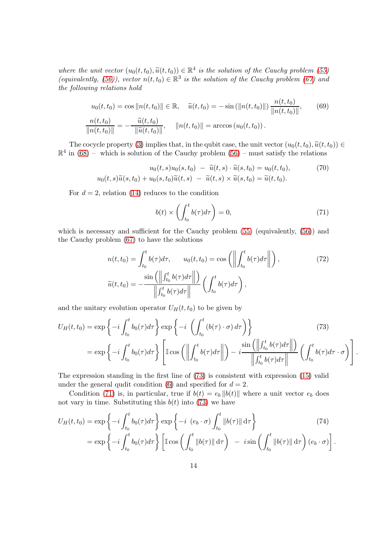*where the unit vector*  $(u_0(t, t_0), \tilde{u}(t, t_0)) \in \mathbb{R}^4$  *is the solution of the Cauchy problem* [\(55\)](#page-11-0) *(equivalently,* [\(56\)](#page-11-2)), vector  $n(t,t_0) \in \mathbb{R}^3$  is the solution of the Cauchy problem [\(67\)](#page-12-2) and *the following relations hold*

$$
u_0(t, t_0) = \cos ||n(t, t_0)|| \in \mathbb{R}, \quad \tilde{u}(t, t_0) = -\sin (||n(t, t_0)||) \frac{n(t, t_0)}{||n(t, t_0)||}, \qquad (69)
$$

$$
\frac{n(t, t_0)}{||n(t, t_0)||} = -\frac{\tilde{u}(t, t_0)}{||\tilde{u}(t, t_0)||}, \qquad ||n(t, t_0)|| = \arccos (u_0(t, t_0)).
$$

The cocycle property [\(3\)](#page-2-6) implies that, in the qubit case, the unit vector  $(u_0(t, t_0), \tilde{u}(t, t_0)) \in$  $\mathbb{R}^4$  in [\(68\)](#page-12-3) – which is solution of the Cauchy problem [\(56\)](#page-11-2) – must satisfy the relations

$$
u_0(t,s)u_0(s,t_0) - \widetilde{u}(t,s) \cdot \widetilde{u}(s,t_0) = u_0(t,t_0), \qquad (70)
$$
  

$$
u_0(t,s)\widetilde{u}(s,t_0) + u_0(s,t_0)\widetilde{u}(t,s) - \widetilde{u}(t,s) \times \widetilde{u}(s,t_0) = \widetilde{u}(t,t_0).
$$

For  $d = 2$ , relation [\(14\)](#page-3-2) reduces to the condition

<span id="page-13-3"></span><span id="page-13-2"></span><span id="page-13-1"></span><span id="page-13-0"></span>
$$
b(t) \times \left(\int_{t_0}^t b(\tau)d\tau\right) = 0,\tag{71}
$$

which is necessary and sufficient for the Cauchy problem  $(55)$  (equivalently,  $(56)$ ) and the Cauchy problem [\(67\)](#page-12-2) to have the solutions

$$
n(t, t_0) = \int_{t_0}^t b(\tau) d\tau, \qquad u_0(t, t_0) = \cos\left(\left\|\int_{t_0}^t b(\tau) d\tau\right\|\right),
$$
  

$$
\widetilde{u}(t, t_0) = -\frac{\sin\left(\left\|\int_{t_0}^t b(\tau) d\tau\right\| \right)}{\left\|\int_{t_0}^t b(\tau) d\tau\right\|} \left(\int_{t_0}^t b(\tau) d\tau\right),
$$
\n(72)

and the unitary evolution operator  $U_H(t, t_0)$  to be given by

$$
U_H(t,t_0) = \exp\left\{-i \int_{t_0}^t b_0(\tau) d\tau\right\} \exp\left\{-i \left(\int_{t_0}^t (b(\tau) \cdot \sigma) d\tau\right)\right\}
$$
(73)  
= 
$$
\exp\left\{-i \int_{t_0}^t b_0(\tau) d\tau\right\} \left[\mathbb{I} \cos\left(\left\|\int_{t_0}^t b(\tau) d\tau\right\|\right) - i \frac{\sin\left(\left\|\int_{t_0}^t b(\tau) d\tau\right\|\right)}{\left\|\int_{t_0}^t b(\tau) d\tau\right\|}\left(\int_{t_0}^t b(\tau) d\tau \cdot \sigma\right)\right].
$$

The expression standing in the first line of [\(73\)](#page-13-0) is consistent with expression [\(15\)](#page-3-3) valid under the general qudit condition [\(6\)](#page-2-3) and specified for  $d = 2$ .

Condition [\(71\)](#page-13-1) is, in particular, true if  $b(t) = e_b ||b(t)||$  where a unit vector  $e_b$  does not vary in time. Substituting this  $b(t)$  into [\(73\)](#page-13-0) we have

<span id="page-13-4"></span>
$$
U_H(t, t_0) = \exp\left\{-i \int_{t_0}^t b_0(\tau) d\tau\right\} \exp\left\{-i (e_b \cdot \sigma) \int_{t_0}^t \|b(\tau)\| d\tau\right\}
$$
(74)  
= 
$$
\exp\left\{-i \int_{t_0}^t b_0(\tau) d\tau\right\} \left[\mathbb{I} \cos\left(\int_{t_0}^t \|b(\tau)\| d\tau\right) - i \sin\left(\int_{t_0}^t \|b(\tau)\| d\tau\right) (e_b \cdot \sigma)\right].
$$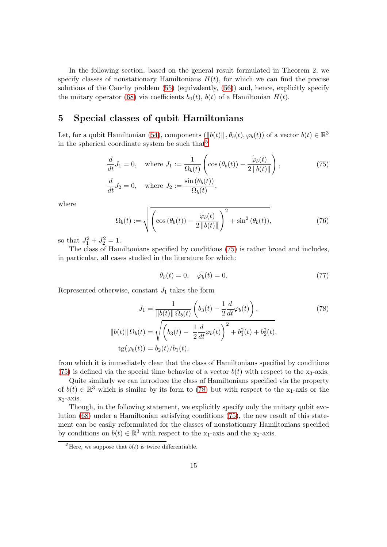In the following section, based on the general result formulated in Theorem 2, we specify classes of nonstationary Hamiltonians  $H(t)$ , for which we can find the precise solutions of the Cauchy problem [\(55\)](#page-11-0) (equivalently, [\(56\)](#page-11-2)) and, hence, explicitly specify the unitary operator [\(68\)](#page-12-3) via coefficients  $b_0(t)$ ,  $b(t)$  of a Hamiltonian  $H(t)$ .

#### 5 Special classes of qubit Hamiltonians

Let, for a qubit Hamiltonian [\(54\)](#page-10-2), components  $(\|b(t)\|, \theta_b(t), \varphi_b(t))$  of a vector  $b(t) \in \mathbb{R}^3$ in the spherical coordinate system be such that  $5$ 

$$
\frac{d}{dt}J_1 = 0, \quad \text{where } J_1 := \frac{1}{\Omega_b(t)} \left( \cos \left( \theta_b(t) \right) - \frac{\dot{\varphi}_b(t)}{2 \left\| b(t) \right\|} \right),\n\tag{75}
$$
\n
$$
\frac{d}{dt}J_2 = 0, \quad \text{where } J_2 := \frac{\sin \left( \theta_b(t) \right)}{\Omega_b(t)},
$$

where

<span id="page-14-3"></span>
$$
\Omega_b(t) := \sqrt{\left(\cos\left(\theta_b(t)\right) - \frac{\dot{\varphi}_b(t)}{2\left\|b(t)\right\|}\right)^2 + \sin^2\left(\theta_b(t)\right)},\tag{76}
$$

so that  $J_1^2 + J_2^2 = 1$ .

The class of Hamiltonians specified by conditions [\(75\)](#page-14-1) is rather broad and includes, in particular, all cases studied in the literature for which:

<span id="page-14-2"></span><span id="page-14-1"></span>
$$
\dot{\theta}_b(t) = 0, \quad \ddot{\varphi}_b(t) = 0. \tag{77}
$$

Represented otherwise, constant  $J_1$  takes the form

$$
J_1 = \frac{1}{\|b(t)\| \Omega_b(t)} \left( b_3(t) - \frac{1}{2} \frac{d}{dt} \varphi_b(t) \right),
$$
\n
$$
\|b(t)\| \Omega_b(t) = \sqrt{\left( b_3(t) - \frac{1}{2} \frac{d}{dt} \varphi_b(t) \right)^2 + b_1^2(t) + b_2^2(t)},
$$
\n
$$
tg(\varphi_b(t)) = b_2(t)/b_1(t),
$$
\n(78)

from which it is immediately clear that the class of Hamiltonians specified by conditions [\(75\)](#page-14-1) is defined via the special time behavior of a vector  $b(t)$  with respect to the x<sub>3</sub>-axis.

Quite similarly we can introduce the class of Hamiltonians specified via the property of  $b(t) \in \mathbb{R}^3$  which is similar by its form to [\(78\)](#page-14-2) but with respect to the  $x_1$ -axis or the  $x_2$ -axis.

Though, in the following statement, we explicitly specify only the unitary qubit evolution [\(68\)](#page-12-3) under a Hamiltonian satisfying conditions [\(75\)](#page-14-1), the new result of this statement can be easily reformulated for the classes of nonstationary Hamiltonians specified by conditions on  $b(t) \in \mathbb{R}^3$  with respect to the x<sub>1</sub>-axis and the x<sub>2</sub>-axis.

<span id="page-14-0"></span><sup>&</sup>lt;sup>5</sup>Here, we suppose that  $b(t)$  is twice differentiable.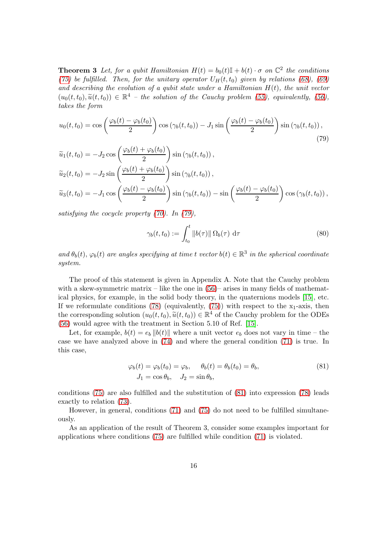**Theorem 3** Let, for a qubit Hamiltonian  $H(t) = b_0(t)\mathbb{I} + b(t) \cdot \sigma$  on  $\mathbb{C}^2$  the conditions *[\(75\)](#page-14-1) be fulfilled. Then, for the unitary operator*  $U_H(t, t_0)$  *given by relations* [\(68\)](#page-12-3)*,* [\(69\)](#page-13-2) *and describing the evolution of a qubit state under a Hamiltonian* H(t)*, the unit vector*  $(u_0(t, t_0), \widetilde{u}(t, t_0)) \in \mathbb{R}^4$  – the solution of the Cauchy problem [\(55\)](#page-11-0), equivalently, [\(56\)](#page-11-2), *takes the form*

$$
u_0(t, t_0) = \cos\left(\frac{\varphi_b(t) - \varphi_b(t_0)}{2}\right) \cos\left(\gamma_b(t, t_0)\right) - J_1 \sin\left(\frac{\varphi_b(t) - \varphi_b(t_0)}{2}\right) \sin\left(\gamma_b(t, t_0)\right),\tag{79}
$$

$$
\tilde{u}_1(t, t_0) = -J_2 \cos\left(\frac{\varphi_b(t) + \varphi_b(t_0)}{2}\right) \sin\left(\gamma_b(t, t_0)\right),
$$
\n
$$
\tilde{u}_2(t, t_0) = -J_2 \sin\left(\frac{\varphi_b(t) + \varphi_b(t_0)}{2}\right) \sin\left(\gamma_b(t, t_0)\right),
$$
\n
$$
\tilde{u}_3(t, t_0) = -J_1 \cos\left(\frac{\varphi_b(t) - \varphi_b(t_0)}{2}\right) \sin\left(\gamma_b(t, t_0)\right) - \sin\left(\frac{\varphi_b(t) - \varphi_b(t_0)}{2}\right) \cos\left(\gamma_b(t, t_0)\right),
$$

*satisfying the cocycle property [\(70\)](#page-13-3). In [\(79\)](#page-15-0),*

<span id="page-15-0"></span>
$$
\gamma_b(t, t_0) := \int_{t_0}^t \|b(\tau)\| \, \Omega_b(\tau) \, \, \mathrm{d}\tau \tag{80}
$$

 $and \theta_b(t), \varphi_b(t)$  are angles specifying at time t *vector*  $b(t) \in \mathbb{R}^3$  in the spherical coordinate *system.*

The proof of this statement is given in Appendix A. Note that the Cauchy problem with a skew-symmetric matrix – like the one in  $(56)$ – arises in many fields of mathematical physics, for example, in the solid body theory, in the quaternions models [\[15\]](#page-25-10), etc. If we reformulate conditions [\(78\)](#page-14-2) (equivalently, [\(75\)](#page-14-1)) with respect to the  $x_1$ -axis, then the corresponding solution  $(u_0(t, t_0), \tilde{u}(t, t_0)) \in \mathbb{R}^4$  of the Cauchy problem for the ODEs [\(56\)](#page-11-2) would agree with the treatment in Section 5.10 of Ref. [\[15\]](#page-25-10).

Let, for example,  $b(t) = e_b ||b(t)||$  where a unit vector  $e_b$  does not vary in time – the case we have analyzed above in [\(74\)](#page-13-4) and where the general condition [\(71\)](#page-13-1) is true. In this case,

<span id="page-15-1"></span>
$$
\varphi_b(t) = \varphi_b(t_0) = \varphi_b, \quad \theta_b(t) = \theta_b(t_0) = \theta_b,
$$
  
\n
$$
J_1 = \cos \theta_b, \quad J_2 = \sin \theta_b,
$$
\n(81)

conditions [\(75\)](#page-14-1) are also fulfilled and the substitution of [\(81\)](#page-15-1) into expression [\(78\)](#page-14-2) leads exactly to relation [\(73\)](#page-13-0).

However, in general, conditions [\(71\)](#page-13-1) and [\(75\)](#page-14-1) do not need to be fulfilled simultaneously.

As an application of the result of Theorem 3, consider some examples important for applications where conditions [\(75\)](#page-14-1) are fulfilled while condition [\(71\)](#page-13-1) is violated.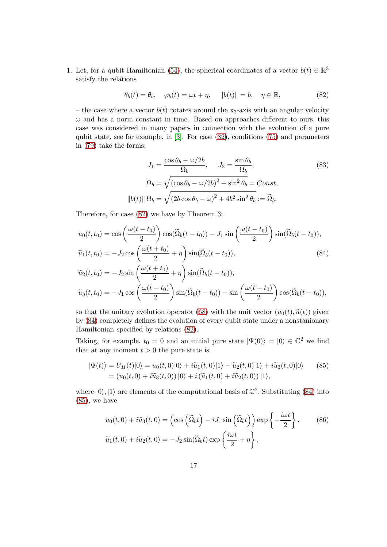1. Let, for a qubit Hamiltonian [\(54\)](#page-10-2), the spherical coordinates of a vector  $b(t) \in \mathbb{R}^3$ satisfy the relations

<span id="page-16-0"></span>
$$
\theta_b(t) = \theta_b, \quad \varphi_b(t) = \omega t + \eta, \quad ||b(t)|| = b, \quad \eta \in \mathbb{R}, \tag{82}
$$

– the case where a vector  $b(t)$  rotates around the x<sub>3</sub>-axis with an angular velocity  $\omega$  and has a norm constant in time. Based on approaches different to ours, this case was considered in many papers in connection with the evolution of a pure qubit state, see for example, in [\[3\]](#page-24-2). For case [\(82\)](#page-16-0), conditions [\(75\)](#page-14-1) and parameters in [\(79\)](#page-15-0) take the forms:

<span id="page-16-3"></span><span id="page-16-1"></span>
$$
J_1 = \frac{\cos \theta_b - \omega/2b}{\Omega_b}, \qquad J_2 = \frac{\sin \theta_b}{\Omega_b},
$$
  

$$
\Omega_b = \sqrt{(\cos \theta_b - \omega/2b)^2 + \sin^2 \theta_b} = Const,
$$
  

$$
||b(t)||\Omega_b = \sqrt{(2b \cos \theta_b - \omega)^2 + 4b^2 \sin^2 \theta_b} := \tilde{\Omega}_b.
$$
 (83)

Therefore, for case [\(82\)](#page-16-0) we have by Theorem 3:

$$
u_0(t, t_0) = \cos\left(\frac{\omega(t - t_0)}{2}\right)\cos(\tilde{\Omega}_b(t - t_0)) - J_1 \sin\left(\frac{\omega(t - t_0)}{2}\right)\sin(\tilde{\Omega}_b(t - t_0)),
$$
  

$$
\tilde{u}_1(t, t_0) = -J_2 \cos\left(\frac{\omega(t + t_0)}{2} + \eta\right)\sin(\tilde{\Omega}_b(t - t_0)),
$$
  

$$
\tilde{u}_2(t, t_0) = -J_2 \sin\left(\frac{\omega(t + t_0)}{2} + \eta\right)\sin(\tilde{\Omega}_b(t - t_0)),
$$
  

$$
\tilde{u}_3(t, t_0) = -J_1 \cos\left(\frac{\omega(t - t_0)}{2}\right)\sin(\tilde{\Omega}_b(t - t_0)) - \sin\left(\frac{\omega(t - t_0)}{2}\right)\cos(\tilde{\Omega}_b(t - t_0)),
$$

so that the unitary evolution operator [\(68\)](#page-12-3) with the unit vector  $(u_0(t), \tilde{u}(t))$  given by [\(84\)](#page-16-1) completely defines the evolution of every qubit state under a nonstanionary Hamiltonian specified by relations [\(82\)](#page-16-0).

Taking, for example,  $t_0 = 0$  and an initial pure state  $|\Psi(0)\rangle = |0\rangle \in \mathbb{C}^2$  we find that at any moment  $t > 0$  the pure state is

$$
|\Psi(t)\rangle = U_H(t)|0\rangle = u_0(t,0)|0\rangle + i\widetilde{u}_1(t,0)|1\rangle - \widetilde{u}_2(t,0)|1\rangle + i\widetilde{u}_3(t,0)|0\rangle \qquad (85)
$$
  
=  $(u_0(t,0) + i\widetilde{u}_3(t,0))|0\rangle + i(\widetilde{u}_1(t,0) + i\widetilde{u}_2(t,0))|1\rangle,$ 

where  $|0\rangle, |1\rangle$  are elements of the computational basis of  $\mathbb{C}^2$ . Substituting [\(84\)](#page-16-1) into  $(85)$ , we have

<span id="page-16-4"></span><span id="page-16-2"></span>
$$
u_0(t,0) + i\tilde{u}_3(t,0) = \left(\cos\left(\tilde{\Omega}_b t\right) - iJ_1 \sin\left(\tilde{\Omega}_b t\right)\right) \exp\left\{-\frac{i\omega t}{2}\right\},\qquad(86)
$$

$$
\tilde{u}_1(t,0) + i\tilde{u}_2(t,0) = -J_2 \sin(\tilde{\Omega}_b t) \exp\left\{\frac{i\omega t}{2} + \eta\right\},\qquad(87)
$$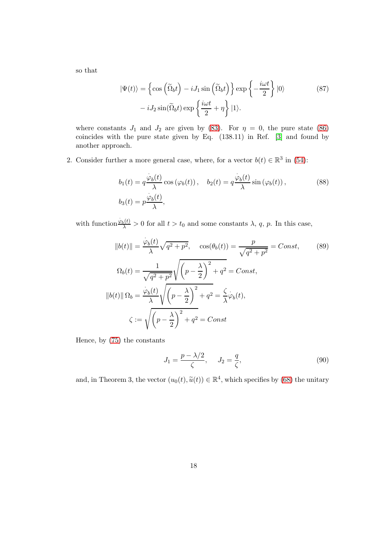so that

$$
|\Psi(t)\rangle = \left\{\cos\left(\tilde{\Omega}_b t\right) - iJ_1 \sin\left(\tilde{\Omega}_b t\right)\right\} \exp\left\{-\frac{i\omega t}{2}\right\} |0\rangle
$$
\n
$$
-iJ_2 \sin(\tilde{\Omega}_b t) \exp\left\{\frac{i\omega t}{2} + \eta\right\} |1\rangle.
$$
\n(87)

where constants  $J_1$  and  $J_2$  are given by [\(83\)](#page-16-3). For  $\eta = 0$ , the pure state [\(86\)](#page-16-4) coincides with the pure state given by Eq. (138.11) in Ref. [\[3\]](#page-24-2) and found by another approach.

2. Consider further a more general case, where, for a vector  $b(t) \in \mathbb{R}^3$  in [\(54\)](#page-10-2):

$$
b_1(t) = q \frac{\dot{\varphi}_b(t)}{\lambda} \cos(\varphi_b(t)), \quad b_2(t) = q \frac{\dot{\varphi}_b(t)}{\lambda} \sin(\varphi_b(t)),
$$
\n
$$
b_3(t) = p \frac{\dot{\varphi}_b(t)}{\lambda},
$$
\n(88)

with function  $\frac{\dot{\varphi}_b(t)}{\lambda} > 0$  for all  $t > t_0$  and some constants  $\lambda$ , q, p. In this case,

$$
||b(t)|| = \frac{\varphi_b(t)}{\lambda} \sqrt{q^2 + p^2}, \quad \cos(\theta_b(t)) = \frac{p}{\sqrt{q^2 + p^2}} = Const,
$$
\n
$$
\Omega_b(t) = \frac{1}{\sqrt{q^2 + p^2}} \sqrt{\left(p - \frac{\lambda}{2}\right)^2 + q^2} = Const,
$$
\n
$$
||b(t)||\Omega_b = \frac{\varphi_b(t)}{\lambda} \sqrt{\left(p - \frac{\lambda}{2}\right)^2 + q^2} = \frac{\zeta}{\lambda} \varphi_b(t),
$$
\n
$$
\zeta := \sqrt{\left(p - \frac{\lambda}{2}\right)^2 + q^2} = Const
$$
\n(89)

Hence, by [\(75\)](#page-14-1) the constants

$$
J_1 = \frac{p - \lambda/2}{\zeta}, \quad J_2 = \frac{q}{\zeta}, \tag{90}
$$

and, in Theorem 3, the vector  $(u_0(t), \tilde{u}(t)) \in \mathbb{R}^4$ , which specifies by [\(68\)](#page-12-3) the unitary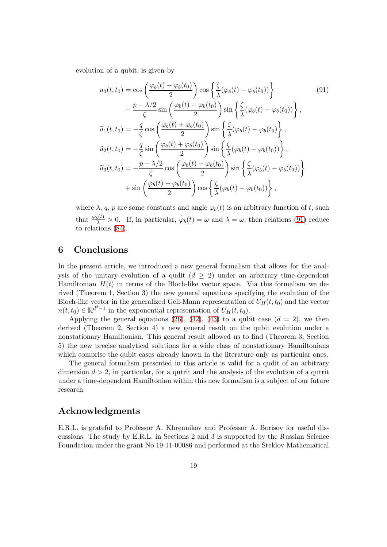evolution of a qubit, is given by

<span id="page-18-0"></span>
$$
u_0(t, t_0) = \cos\left(\frac{\varphi_b(t) - \varphi_b(t_0)}{2}\right) \cos\left\{\frac{\zeta}{\lambda}(\varphi_b(t) - \varphi_b(t_0))\right\} - \frac{p - \lambda/2}{\zeta} \sin\left(\frac{\varphi_b(t) - \varphi_b(t_0)}{2}\right) \sin\left\{\frac{\zeta}{\lambda}(\varphi_b(t) - \varphi_b(t_0))\right\},
$$
  

$$
\tilde{u}_1(t, t_0) = -\frac{q}{\zeta} \cos\left(\frac{\varphi_b(t) + \varphi_b(t_0)}{2}\right) \sin\left\{\frac{\zeta}{\lambda}(\varphi_b(t) - \varphi_b(t_0)\right\},
$$
  

$$
\tilde{u}_2(t, t_0) = -\frac{q}{\zeta} \sin\left(\frac{\varphi_b(t) + \varphi_b(t_0)}{2}\right) \sin\left\{\frac{\zeta}{\lambda}(\varphi_b(t) - \varphi_b(t_0))\right\},
$$
  

$$
\tilde{u}_3(t, t_0) = -\frac{p - \lambda/2}{\zeta} \cos\left(\frac{\varphi_b(t) - \varphi_b(t_0)}{2}\right) \sin\left\{\frac{\zeta}{\lambda}(\varphi_b(t) - \varphi_b(t_0))\right\} + \sin\left(\frac{\varphi_b(t) - \varphi_b(t_0)}{2}\right) \cos\left\{\frac{\zeta}{\lambda}(\varphi_b(t) - \varphi_b(t_0))\right\},
$$

where  $\lambda$ , q, p are some constants and angle  $\varphi_b(t)$  is an arbitrary function of t, such that  $\frac{\varphi_b(t)}{\lambda} > 0$ . If, in particular,  $\varphi_b(t) = \omega$  and  $\lambda = \omega$ , then relations [\(91\)](#page-18-0) reduce to relations [\(84\)](#page-16-1).

#### 6 Conclusions

In the present article, we introduced a new general formalism that allows for the analysis of the unitary evolution of a qudit  $(d \geq 2)$  under an arbitrary time-dependent Hamiltonian  $H(t)$  in terms of the Bloch-like vector space. Via this formalism we derived (Theorem 1, Section 3) the new general equations specifying the evolution of the Bloch-like vector in the generalized Gell-Mann representation of  $U_H(t, t_0)$  and the vector  $n(t, t_0) \in \mathbb{R}^{d^2-1}$  in the exponential representation of  $U_H(t, t_0)$ .

Applying the general equations [\(26\)](#page-5-2), [\(42\)](#page-8-1), [\(43\)](#page-8-2) to a qubit case  $(d = 2)$ , we then derived (Theorem 2, Section 4) a new general result on the qubit evolution under a nonstationary Hamiltonian. This general result allowed us to find (Theorem 3, Section 5) the new precise analytical solutions for a wide class of nonstationary Hamiltonians which comprise the qubit cases already known in the literature only as particular ones.

The general formalism presented in this article is valid for a qudit of an arbitrary dimension  $d > 2$ , in particular, for a qutrit and the analysis of the evolution of a qutrit under a time-dependent Hamiltonian within this new formalism is a subject of our future research.

#### Acknowledgments

E.R.L. is grateful to Professor A. Khrennikov and Professor A. Borisov for useful discussions. The study by E.R.L. in Sections 2 and 3 is supported by the Russian Science Foundation under the grant No 19-11-00086 and performed at the Steklov Mathematical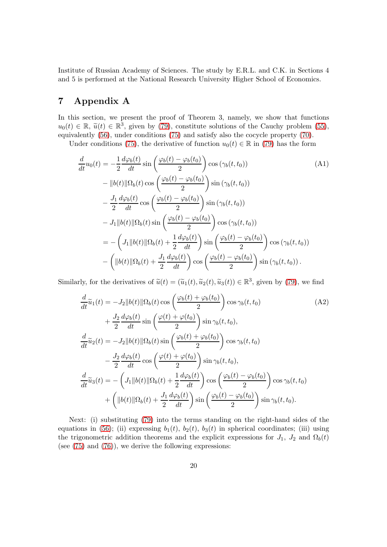Institute of Russian Academy of Sciences. The study by E.R.L. and C.K. in Sections 4 and 5 is performed at the National Research University Higher School of Economics.

## 7 Appendix A

In this section, we present the proof of Theorem 3, namely, we show that functions  $u_0(t) \in \mathbb{R}$ ,  $\widetilde{u}(t) \in \mathbb{R}^3$ , given by [\(79\)](#page-15-0), constitute solutions of the Cauchy problem [\(55\)](#page-11-0), equivalently [\(56\)](#page-11-2), under conditions [\(75\)](#page-14-1) and satisfy also the cocycle property [\(70\)](#page-13-3).

Under conditions [\(75\)](#page-14-1), the derivative of function  $u_0(t) \in \mathbb{R}$  in [\(79\)](#page-15-0) has the form

$$
\frac{d}{dt}u_0(t) = -\frac{1}{2}\frac{d\varphi_b(t)}{dt}\sin\left(\frac{\varphi_b(t) - \varphi_b(t_0)}{2}\right)\cos\left(\gamma_b(t, t_0)\right) \tag{A1}
$$
\n
$$
-\|b(t)\|\Omega_b(t)\cos\left(\frac{\varphi_b(t) - \varphi_b(t_0)}{2}\right)\sin\left(\gamma_b(t, t_0)\right) \tag{A2}
$$
\n
$$
-\frac{J_1}{2}\frac{d\varphi_b(t)}{dt}\cos\left(\frac{\varphi_b(t) - \varphi_b(t_0)}{2}\right)\sin\left(\gamma_b(t, t_0)\right) \tag{A3}
$$
\n
$$
-J_1\|b(t)\|\Omega_b(t)\sin\left(\frac{\varphi_b(t) - \varphi_b(t_0)}{2}\right)\cos\left(\gamma_b(t, t_0)\right) \tag{A4}
$$
\n
$$
= -\left(J_1\|b(t)\|\Omega_b(t) + \frac{1}{2}\frac{d\varphi_b(t)}{dt}\right)\sin\left(\frac{\varphi_b(t) - \varphi_b(t_0)}{2}\right)\cos\left(\gamma_b(t, t_0)\right) \tag{A5}
$$
\n
$$
-\left(\|b(t)\|\Omega_b(t) + \frac{J_1}{2}\frac{d\varphi_b(t)}{dt}\right)\cos\left(\frac{\varphi_b(t) - \varphi_b(t_0)}{2}\right)\sin\left(\gamma_b(t, t_0)\right).
$$

Similarly, for the derivatives of  $\tilde{u}(t) = (\tilde{u}_1(t), \tilde{u}_2(t), \tilde{u}_3(t)) \in \mathbb{R}^3$ , given by [\(79\)](#page-15-0), we find

$$
\frac{d}{dt}\tilde{u}_1(t) = -J_2||b(t)||\Omega_b(t)\cos\left(\frac{\varphi_b(t) + \varphi_b(t_0)}{2}\right)\cos\gamma_b(t, t_0)
$$
\n
$$
+ \frac{J_2}{2}\frac{d\varphi_b(t)}{dt}\sin\left(\frac{\varphi(t) + \varphi(t_0)}{2}\right)\sin\gamma_b(t, t_0),
$$
\n
$$
\frac{d}{dt}\tilde{u}_2(t) = -J_2||b(t)||\Omega_b(t)\sin\left(\frac{\varphi_b(t) + \varphi_b(t_0)}{2}\right)\cos\gamma_b(t, t_0)
$$
\n
$$
- \frac{J_2}{2}\frac{d\varphi_b(t)}{dt}\cos\left(\frac{\varphi(t) + \varphi(t_0)}{2}\right)\sin\gamma_b(t, t_0),
$$
\n
$$
\frac{d}{dt}\tilde{u}_3(t) = -\left(J_1||b(t)||\Omega_b(t) + \frac{1}{2}\frac{d\varphi_b(t)}{dt}\right)\cos\left(\frac{\varphi_b(t) - \varphi_b(t_0)}{2}\right)\cos\gamma_b(t, t_0)
$$
\n
$$
+ \left(||b(t)||\Omega_b(t) + \frac{J_1}{2}\frac{d\varphi_b(t)}{dt}\right)\sin\left(\frac{\varphi_b(t) - \varphi_b(t_0)}{2}\right)\sin\gamma_b(t, t_0).
$$
\n(A2)

Next: (i) substituting [\(79\)](#page-15-0) into the terms standing on the right-hand sides of the equations in [\(56\)](#page-11-2); (ii) expressing  $b_1(t)$ ,  $b_2(t)$ ,  $b_3(t)$  in spherical coordinates; (iii) using the trigonometric addition theorems and the explicit expressions for  $J_1$ ,  $J_2$  and  $\Omega_b(t)$ (see [\(75\)](#page-14-1) and [\(76\)](#page-14-3)), we derive the following expressions: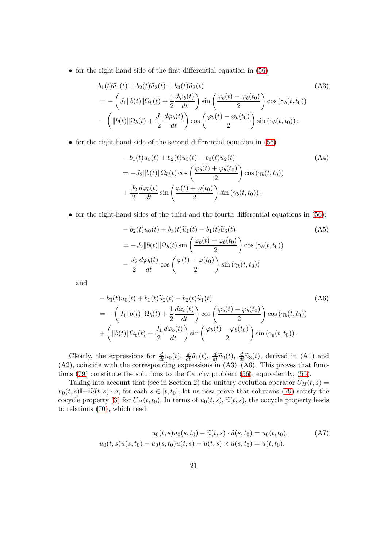• for the right-hand side of the first differential equation in [\(56\)](#page-11-2)

$$
b_1(t)\widetilde{u}_1(t) + b_2(t)\widetilde{u}_2(t) + b_3(t)\widetilde{u}_3(t)
$$
\n
$$
= -\left(J_1\|b(t)\|\Omega_b(t) + \frac{1}{2}\frac{d\varphi_b(t)}{dt}\right)\sin\left(\frac{\varphi_b(t) - \varphi_b(t_0)}{2}\right)\cos(\gamma_b(t, t_0))
$$
\n
$$
-\left(\|b(t)\|\Omega_b(t) + \frac{J_1}{2}\frac{d\varphi_b(t)}{dt}\right)\cos\left(\frac{\varphi_b(t) - \varphi_b(t_0)}{2}\right)\sin(\gamma_b(t, t_0));
$$
\n(A3)

• for the right-hand side of the second differential equation in [\(56\)](#page-11-2)

$$
-b_1(t)u_0(t) + b_2(t)\tilde{u}_3(t) - b_3(t)\tilde{u}_2(t)
$$
\n
$$
= -J_2||b(t)||\Omega_b(t)\cos\left(\frac{\varphi_b(t) + \varphi_b(t_0)}{2}\right)\cos(\gamma_b(t, t_0))
$$
\n
$$
+ \frac{J_2}{2}\frac{d\varphi_b(t)}{dt}\sin\left(\frac{\varphi(t) + \varphi(t_0)}{2}\right)\sin(\gamma_b(t, t_0));
$$
\n(A4)

• for the right-hand sides of the third and the fourth differential equations in [\(56\)](#page-11-2):

$$
-b_2(t)u_0(t) + b_3(t)\widetilde{u}_1(t) - b_1(t)\widetilde{u}_3(t)
$$
\n
$$
= -J_2||b(t)||\Omega_b(t)\sin\left(\frac{\varphi_b(t) + \varphi_b(t_0)}{2}\right)\cos(\gamma_b(t, t_0))
$$
\n
$$
- \frac{J_2}{2}\frac{d\varphi_b(t)}{dt}\cos\left(\frac{\varphi(t) + \varphi(t_0)}{2}\right)\sin(\gamma_b(t, t_0))
$$
\n(A5)

and

$$
-b_3(t)u_0(t) + b_1(t)\tilde{u}_2(t) - b_2(t)\tilde{u}_1(t)
$$
\n
$$
= -\left(J_1\|b(t)\|\Omega_b(t) + \frac{1}{2}\frac{d\varphi_b(t)}{dt}\right)\cos\left(\frac{\varphi_b(t) - \varphi_b(t_0)}{2}\right)\cos(\gamma_b(t, t_0))
$$
\n
$$
+ \left(\|b(t)\|\Omega_b(t) + \frac{J_1}{2}\frac{d\varphi_b(t)}{dt}\right)\sin\left(\frac{\varphi_b(t) - \varphi_b(t_0)}{2}\right)\sin(\gamma_b(t, t_0)).
$$
\n(A6)

Clearly, the expressions for  $\frac{d}{dt}u_0(t)$ ,  $\frac{d}{dt}\tilde{u}_1(t)$ ,  $\frac{d}{dt}\tilde{u}_2(t)$ ,  $\frac{d}{dt}\tilde{u}_3(t)$ , derived in (A1) and  $(A2)$ , coincide with the corresponding expressions in  $(A3)$ – $(A6)$ . This proves that functions [\(79\)](#page-15-0) constitute the solutions to the Cauchy problem [\(56\)](#page-11-2), equivalently, [\(55\)](#page-11-0).

Taking into account that (see in Section 2) the unitary evolution operator  $U_H(t, s) =$  $u_0(t, s) \mathbb{I} + i \widetilde{u}(t, s) \cdot \sigma$ , for each  $s \in [t, t_0]$ , let us now prove that solutions [\(79\)](#page-15-0) satisfy the cocycle property [\(3\)](#page-2-6) for  $U_H(t, t_0)$ . In terms of  $u_0(t, s)$ ,  $\tilde{u}(t, s)$ , the cocycle property leads to relations [\(70\)](#page-13-3), which read:

$$
u_0(t,s)u_0(s,t_0) - \widetilde{u}(t,s) \cdot \widetilde{u}(s,t_0) = u_0(t,t_0),
$$
\n
$$
u_0(t,s)\widetilde{u}(s,t_0) + u_0(s,t_0)\widetilde{u}(t,s) - \widetilde{u}(t,s) \times \widetilde{u}(s,t_0) = \widetilde{u}(t,t_0).
$$
\n(A7)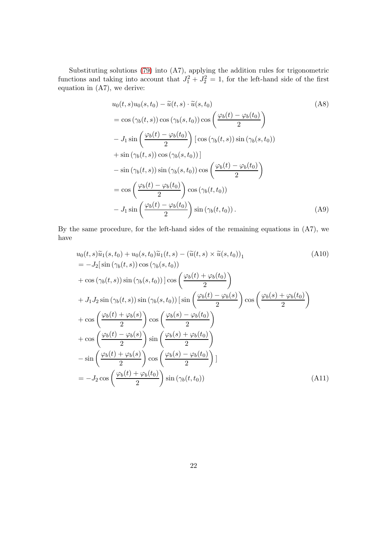Substituting solutions [\(79\)](#page-15-0) into (A7), applying the addition rules for trigonometric functions and taking into account that  $J_1^2 + J_2^2 = 1$ , for the left-hand side of the first equation in (A7), we derive:

$$
u_0(t, s)u_0(s, t_0) - \tilde{u}(t, s) \cdot \tilde{u}(s, t_0)
$$
\n
$$
= \cos(\gamma_b(t, s)) \cos(\gamma_b(s, t_0)) \cos\left(\frac{\varphi_b(t) - \varphi_b(t_0)}{2}\right)
$$
\n
$$
-J_1 \sin\left(\frac{\varphi_b(t) - \varphi_b(t_0)}{2}\right) [\cos(\gamma_b(t, s)) \sin(\gamma_b(s, t_0))]
$$
\n
$$
+ \sin(\gamma_b(t, s)) \cos(\gamma_b(s, t_0))]
$$
\n
$$
- \sin(\gamma_b(t, s)) \sin(\gamma_b(s, t_0)) \cos\left(\frac{\varphi_b(t) - \varphi_b(t_0)}{2}\right)
$$
\n
$$
= \cos\left(\frac{\varphi_b(t) - \varphi_b(t_0)}{2}\right) \cos(\gamma_b(t, t_0))
$$
\n
$$
-J_1 \sin\left(\frac{\varphi_b(t) - \varphi_b(t_0)}{2}\right) \sin(\gamma_b(t, t_0)).
$$
\n(A9)

By the same procedure, for the left-hand sides of the remaining equations in (A7), we have

$$
u_0(t, s)\tilde{u}_1(s, t_0) + u_0(s, t_0)\tilde{u}_1(t, s) - (\tilde{u}(t, s) \times \tilde{u}(s, t_0))_1
$$
\n
$$
= -J_2[\sin(\gamma_b(t, s))\cos(\gamma_b(s, t_0))]
$$
\n
$$
+ \cos(\gamma_b(t, s))\sin(\gamma_b(s, t_0))]\cos\left(\frac{\varphi_b(t) + \varphi_b(t_0)}{2}\right)
$$
\n
$$
+ J_1 J_2 \sin(\gamma_b(t, s))\sin(\gamma_b(s, t_0))\left[\sin\left(\frac{\varphi_b(t) - \varphi_b(s)}{2}\right)\cos\left(\frac{\varphi_b(s) + \varphi_b(t_0)}{2}\right)\right]
$$
\n
$$
+ \cos\left(\frac{\varphi_b(t) + \varphi_b(s)}{2}\right)\cos\left(\frac{\varphi_b(s) - \varphi_b(t_0)}{2}\right)
$$
\n
$$
+ \cos\left(\frac{\varphi_b(t) - \varphi_b(s)}{2}\right)\sin\left(\frac{\varphi_b(s) + \varphi_b(t_0)}{2}\right)
$$
\n
$$
- \sin\left(\frac{\varphi_b(t) + \varphi_b(s)}{2}\right)\cos\left(\frac{\varphi_b(s) - \varphi_b(t_0)}{2}\right)
$$
\n
$$
= -J_2 \cos\left(\frac{\varphi_b(t) + \varphi_b(t_0)}{2}\right)\sin(\gamma_b(t, t_0))
$$
\n(A11)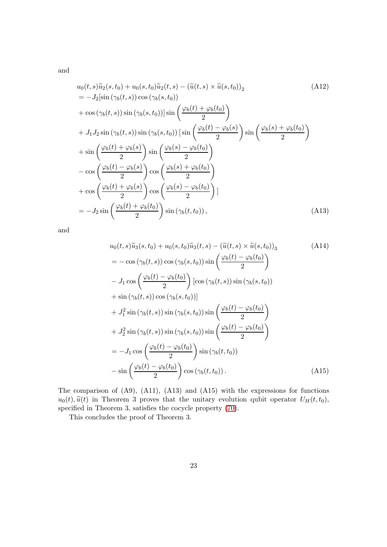and

$$
u_0(t,s)\tilde{u}_2(s,t_0) + u_0(s,t_0)\tilde{u}_2(t,s) - (\tilde{u}(t,s) \times \tilde{u}(s,t_0))_2
$$
\n
$$
= -J_2[\sin(\gamma_b(t,s))\cos(\gamma_b(s,t_0))]
$$
\n
$$
+ \cos(\gamma_b(t,s))\sin(\gamma_b(s,t_0))]\sin\left(\frac{\varphi_b(t) + \varphi_b(t_0)}{2}\right)
$$
\n
$$
+ J_1 J_2 \sin(\gamma_b(t,s))\sin(\gamma_b(s,t_0))\left[\sin\left(\frac{\varphi_b(t) - \varphi_b(s)}{2}\right)\sin\left(\frac{\varphi_b(s) + \varphi_b(t_0)}{2}\right)\right]
$$
\n
$$
+ \sin\left(\frac{\varphi_b(t) + \varphi_b(s)}{2}\right)\sin\left(\frac{\varphi_b(s) - \varphi_b(t_0)}{2}\right)
$$
\n
$$
- \cos\left(\frac{\varphi_b(t) - \varphi_b(s)}{2}\right)\cos\left(\frac{\varphi_b(s) + \varphi_b(t_0)}{2}\right)
$$
\n
$$
+ \cos\left(\frac{\varphi_b(t) + \varphi_b(s)}{2}\right)\cos\left(\frac{\varphi_b(s) - \varphi_b(t_0)}{2}\right)
$$
\n
$$
= -J_2 \sin\left(\frac{\varphi_b(t) + \varphi_b(t_0)}{2}\right)\sin(\gamma_b(t,t_0)), \qquad (A13)
$$

and

$$
u_0(t, s)\tilde{u}_3(s, t_0) + u_0(s, t_0)\tilde{u}_3(t, s) - (\tilde{u}(t, s) \times \tilde{u}(s, t_0))_3
$$
\n
$$
= -\cos(\gamma_b(t, s))\cos(\gamma_b(s, t_0))\sin\left(\frac{\varphi_b(t) - \varphi_b(t_0)}{2}\right)
$$
\n
$$
-J_1\cos\left(\frac{\varphi_b(t) - \varphi_b(t_0)}{2}\right)\left[\cos(\gamma_b(t, s))\sin(\gamma_b(s, t_0))\right]
$$
\n
$$
+\sin(\gamma_b(t, s))\cos(\gamma_b(s, t_0))
$$
\n
$$
+J_1^2\sin(\gamma_b(t, s))\sin(\gamma_b(s, t_0))\sin\left(\frac{\varphi_b(t) - \varphi_b(t_0)}{2}\right)
$$
\n
$$
+J_2^2\sin(\gamma_b(t, s))\sin(\gamma_b(s, t_0))\sin\left(\frac{\varphi_b(t) - \varphi_b(t_0)}{2}\right)
$$
\n
$$
= -J_1\cos\left(\frac{\varphi_b(t) - \varphi_b(t_0)}{2}\right)\sin(\gamma_b(t, t_0))
$$
\n
$$
- \sin\left(\frac{\varphi_b(t) - \varphi_b(t_0)}{2}\right)\cos(\gamma_b(t, t_0))
$$
\n(A15)

The comparison of (A9), (A11), (A13) and (A15) with the expressions for functions  $u_0(t)$ ,  $\tilde{u}(t)$  in Theorem 3 proves that the unitary evolution qubit operator  $U_H(t, t_0)$ , specified in Theorem 3, satisfies the cocycle property [\(70\)](#page-13-3).

This concludes the proof of Theorem 3.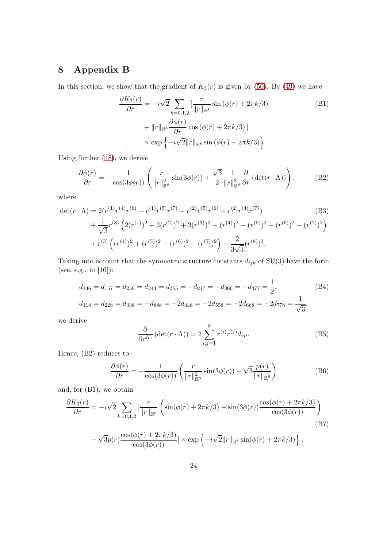# 8 Appendix B

In this section, we show that the gradient of  $K_3(r)$  is given by [\(50\)](#page-10-0). By [\(49\)](#page-9-1) we have

$$
\frac{\partial K_3(r)}{\partial r} = -i\sqrt{2} \sum_{k=0,1,2} \left[ \frac{r}{\|r\|_{\mathbb{R}^8}} \sin(\phi(r) + 2\pi k/3) \right]
$$
\n
$$
+ \|r\|_{\mathbb{R}^8} \frac{\partial \phi(r)}{\partial r} \cos(\phi(r) + 2\pi k/3) \right]
$$
\n
$$
\times \exp\left\{-i\sqrt{2} \|r\|_{\mathbb{R}^8} \sin(\phi(r) + 2\pi k/3) \right\}.
$$
\n(B1)

Using further [\(48\)](#page-9-3), we derive

$$
\frac{\partial \phi(r)}{\partial r} = -\frac{1}{\cos(3\phi(r))} \left( \frac{r}{\|r\|_{\mathbb{R}^8}^2} \sin(3\phi(r)) + \frac{\sqrt{3}}{2} \frac{1}{\|r\|_{\mathbb{R}^8}^3} \frac{\partial}{\partial r} \left( \det(r \cdot \Lambda) \right) \right), \tag{B2}
$$

where

$$
\det(r \cdot \Lambda) = 2(r^{(1)}r^{(4)}r^{(6)} + r^{(1)}r^{(5)}r^{(7)} + r^{(2)}r^{(5)}r^{(6)} - r^{(2)}r^{(4)}r^{(7)})
$$
(B3)  
+ 
$$
\frac{1}{\sqrt{3}}r^{(8)} \left(2(r^{(1)})^2 + 2(r^{(2)})^2 + 2(r^{(3)})^2 - (r^{(4)})^2 - (r^{(5)})^2 - (r^{(6)})^2 - (r^{(7)})^2\right)
$$
  
+ 
$$
r^{(3)} \left((r^{(4)})^2 + (r^{(5)})^2 - (r^{(6)})^2 - (r^{(7)})^2\right) - \frac{2}{3\sqrt{3}}(r^{(8)})^3.
$$

Taking into account that the symmetric structure constants  $d_{ijk}$  of SU(3) have the form (see, e.g., in [\[16\]](#page-25-11)):

$$
d_{146} = d_{157} = d_{256} = d_{344} = d_{355} = -d_{247} = -d_{366} = -d_{377} = \frac{1}{2},
$$
(B4)  

$$
d_{118} = d_{228} = d_{338} = -d_{888} = -2d_{448} = -2d_{558} = -2d_{668} = -2d_{778} = \frac{1}{\sqrt{3}},
$$

we derive

$$
\frac{\partial}{\partial r^{(l)}} (\det(r \cdot \Lambda)) = 2 \sum_{i,j=1}^{8} r^{(i)} r^{(j)} d_{ijl}.
$$
 (B5)

Hence, (B2) reduces to

$$
\frac{\partial \phi(r)}{\partial r} = -\frac{1}{\cos(3\phi(r))} \left( \frac{r}{\|r\|_{\mathbb{R}^8}^2} \sin(3\phi(r)) + \sqrt{3} \frac{p(r)}{\|r\|_{\mathbb{R}^8}} \right)
$$
(B6)

and, for (B1), we obtain

$$
\frac{\partial K_3(r)}{\partial r} = -i\sqrt{2} \sum_{k=0,1,2} \left[ \frac{r}{\|r\|_{\mathbb{R}^8}} \left( \sin(\phi(r) + 2\pi k/3) - \sin(3\phi(r)) \frac{\cos(\phi(r) + 2\pi k/3)}{\cos(3\phi(r))} \right) - \sqrt{3}p(r) \frac{\cos(\phi(r) + 2\pi k/3)}{\cos(3\phi(r))} \right]
$$
(B7)  
(B7)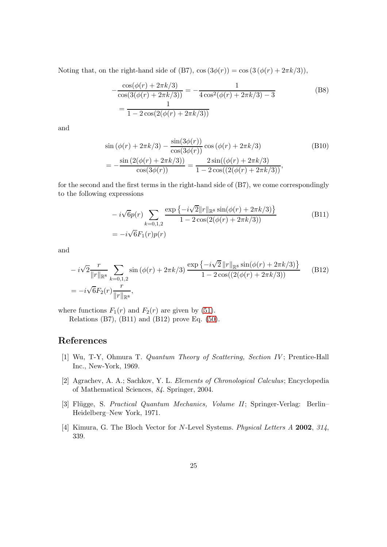Noting that, on the right-hand side of (B7),  $\cos(3\phi(r)) = \cos(3(\phi(r) + 2\pi k/3)),$ 

$$
-\frac{\cos(\phi(r) + 2\pi k/3)}{\cos(3(\phi(r) + 2\pi k/3))} = -\frac{1}{4\cos^2(\phi(r) + 2\pi k/3) - 3}
$$
(B8)  
= 
$$
\frac{1}{1 - 2\cos(2(\phi(r) + 2\pi k/3))}
$$

and

−

$$
\sin(\phi(r) + 2\pi k/3) - \frac{\sin(3\phi(r))}{\cos(3\phi(r))}\cos(\phi(r) + 2\pi k/3)
$$
\n(B10)\n
$$
= -\frac{\sin(2(\phi(r) + 2\pi k/3))}{\cos(3\phi(r))} = \frac{2\sin((\phi(r) + 2\pi k/3))}{1 - 2\cos((2(\phi(r) + 2\pi k/3))},
$$

for the second and the first terms in the right-hand side of (B7), we come correspondingly to the following expressions

$$
-i\sqrt{6}p(r)\sum_{k=0,1,2}\frac{\exp\{-i\sqrt{2}\|r\|_{\mathbb{R}^8}\sin(\phi(r)+2\pi k/3)\}}{1-2\cos(2(\phi(r)+2\pi k/3))}
$$
(B11)  
= $-i\sqrt{6}F_1(r)p(r)$ 

and

$$
-i\sqrt{2}\frac{r}{\|r\|_{\mathbb{R}^8}}\sum_{k=0,1,2}\sin(\phi(r)+2\pi k/3)\frac{\exp\left\{-i\sqrt{2}\left\|r\right\|_{\mathbb{R}^8}\sin(\phi(r)+2\pi k/3)\right\}}{1-2\cos((2(\phi(r)+2\pi k/3)))}
$$
(B12)  
= $-i\sqrt{6}F_2(r)\frac{r}{\|r\|_{\mathbb{R}^8}},$ 

where functions  $F_1(r)$  and  $F_2(r)$  are given by [\(51\)](#page-10-1). Relations (B7), (B11) and (B12) prove Eq. [\(50\)](#page-10-0).

#### <span id="page-24-0"></span>References

- [1] Wu, T-Y, Ohmura T. *Quantum Theory of Scattering, Section IV* ; Prentice-Hall Inc., New-York, 1969.
- <span id="page-24-1"></span>[2] Agrachev, A. A.; Sachkov, Y. L. *Elements of Chronological Calculus*; Encyclopedia of Mathematical Sciences, *84*. Springer, 2004.
- <span id="page-24-2"></span>[3] Fl¨ugge, S. *Practical Quantum Mechanics, Volume II*; Springer-Verlag: Berlin– Heidelberg–New York, 1971.
- <span id="page-24-3"></span>[4] Kimura, G. The Bloch Vector for N-Level Systems. *Physical Letters A* 2002, *314*, 339.